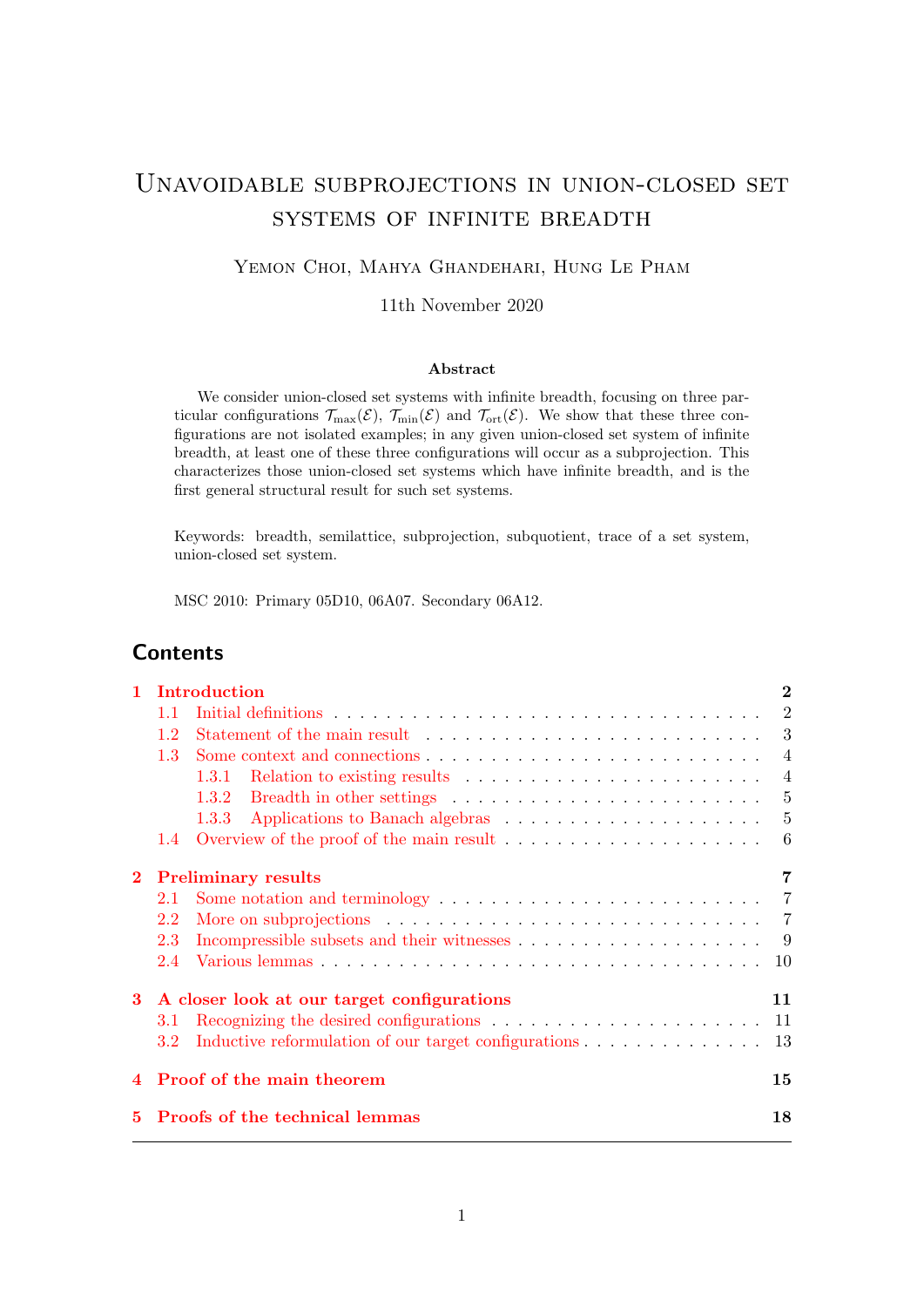# Unavoidable subprojections in union-closed set systems of infinite breadth

## Yemon Choi, Mahya Ghandehari, Hung Le Pham

11th November 2020

#### Abstract

We consider union-closed set systems with infinite breadth, focusing on three particular configurations  $\mathcal{T}_{\text{max}}(\mathcal{E}), \mathcal{T}_{\text{min}}(\mathcal{E})$  and  $\mathcal{T}_{\text{ort}}(\mathcal{E})$ . We show that these three configurations are not isolated examples; in any given union-closed set system of infinite breadth, at least one of these three configurations will occur as a subprojection. This characterizes those union-closed set systems which have infinite breadth, and is the first general structural result for such set systems.

Keywords: breadth, semilattice, subprojection, subquotient, trace of a set system, union-closed set system.

MSC 2010: Primary 05D10, 06A07. Secondary 06A12.

## **Contents**

|    |                                            | Introduction                                                                                            |                |
|----|--------------------------------------------|---------------------------------------------------------------------------------------------------------|----------------|
|    | 1.1                                        |                                                                                                         | $\overline{2}$ |
|    | 1.2                                        |                                                                                                         |                |
|    | 1.3                                        |                                                                                                         | $\overline{4}$ |
|    |                                            | 1.3.1                                                                                                   | $\overline{4}$ |
|    |                                            | Breadth in other settings $\ldots \ldots \ldots \ldots \ldots \ldots \ldots \ldots \ldots 5$<br>1.3.2   |                |
|    |                                            | 1.3.3                                                                                                   | -5             |
|    | $1.4^{\circ}$                              | Overview of the proof of the main result                                                                | 6              |
|    | <b>Preliminary results</b>                 |                                                                                                         | $\overline{7}$ |
|    | 2.1                                        | Some notation and terminology $\dots \dots \dots \dots \dots \dots \dots \dots \dots \dots \dots \dots$ |                |
|    | 2.2                                        | More on subprojections $\ldots \ldots \ldots \ldots \ldots \ldots \ldots \ldots \ldots \ldots \ldots$   |                |
|    | 2.3                                        |                                                                                                         | - 9            |
|    | 2.4                                        |                                                                                                         | 10             |
| 3  | A closer look at our target configurations |                                                                                                         | 11             |
|    | 3.1                                        |                                                                                                         |                |
|    | 3.2                                        | Inductive reformulation of our target configurations                                                    | -13            |
|    | 4 Proof of the main theorem                |                                                                                                         | 15             |
| 5. | <b>Proofs of the technical lemmas</b>      |                                                                                                         | 18             |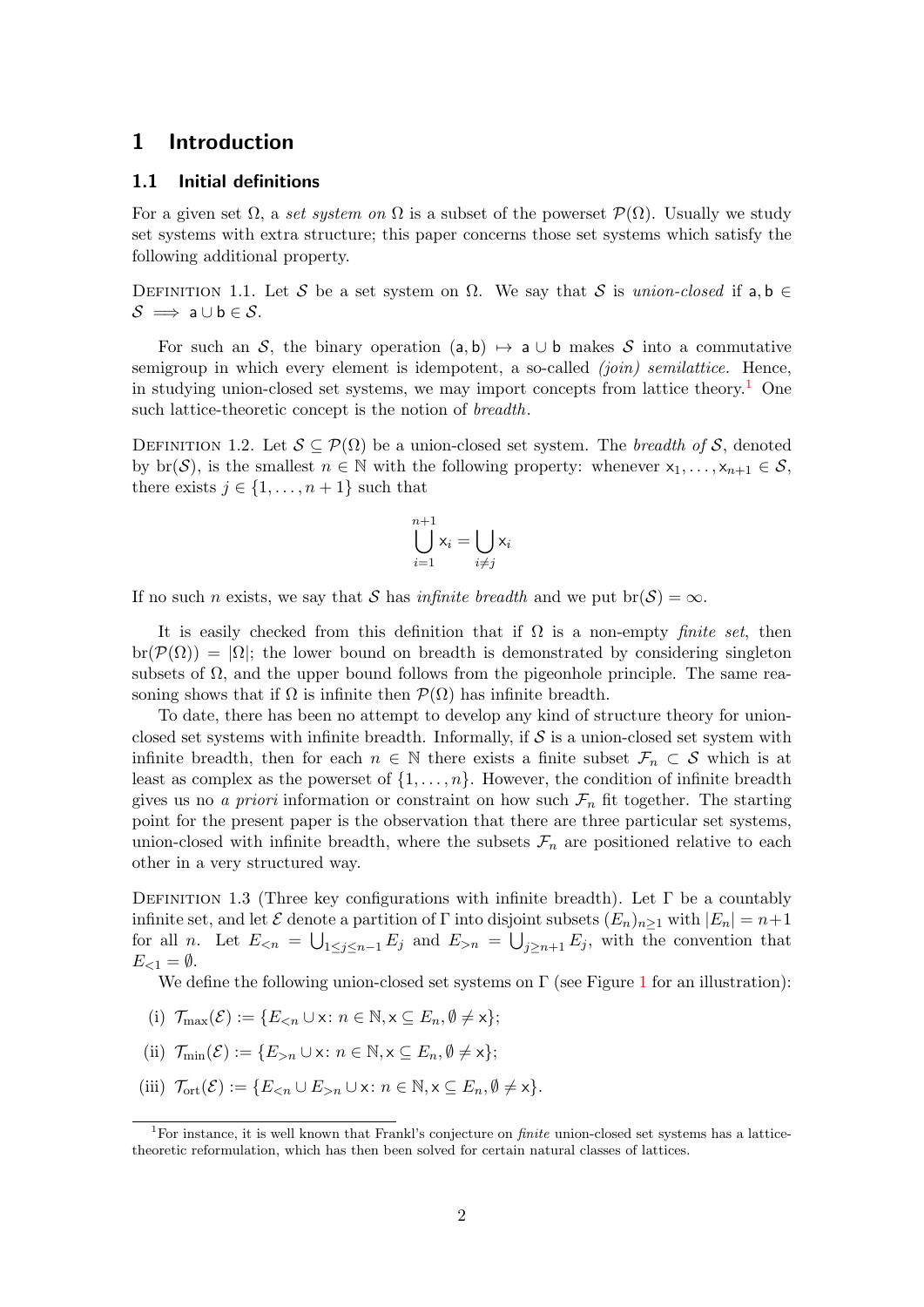## <span id="page-1-0"></span>1 Introduction

#### <span id="page-1-1"></span>1.1 Initial definitions

For a given set  $\Omega$ , a set system on  $\Omega$  is a subset of the powerset  $\mathcal{P}(\Omega)$ . Usually we study set systems with extra structure; this paper concerns those set systems which satisfy the following additional property.

<span id="page-1-5"></span>DEFINITION 1.1. Let S be a set system on  $\Omega$ . We say that S is union-closed if a, b  $\in$  $\mathcal{S} \implies \mathsf{a} \cup \mathsf{b} \in \mathcal{S}.$ 

For such an S, the binary operation (a, b)  $\mapsto$  a ∪ b makes S into a commutative semigroup in which every element is idempotent, a so-called  $(join)$  semilattice. Hence, in studying union-closed set systems, we may import concepts from lattice theory.<sup>[1](#page-1-2)</sup> One such lattice-theoretic concept is the notion of *breadth*.

<span id="page-1-4"></span>DEFINITION 1.2. Let  $S \subseteq \mathcal{P}(\Omega)$  be a union-closed set system. The *breadth of* S, denoted by br(S), is the smallest  $n \in \mathbb{N}$  with the following property: whenever  $x_1, \ldots, x_{n+1} \in S$ , there exists  $j \in \{1, \ldots, n+1\}$  such that

$$
\bigcup_{i=1}^{n+1} \mathsf{x}_i = \bigcup_{i \neq j} \mathsf{x}_i
$$

If no such n exists, we say that S has *infinite breadth* and we put  $br(S) = \infty$ .

It is easily checked from this definition that if  $\Omega$  is a non-empty *finite set*, then  $\text{br}(\mathcal{P}(\Omega)) = |\Omega|$ ; the lower bound on breadth is demonstrated by considering singleton subsets of  $\Omega$ , and the upper bound follows from the pigeonhole principle. The same reasoning shows that if  $\Omega$  is infinite then  $\mathcal{P}(\Omega)$  has infinite breadth.

To date, there has been no attempt to develop any kind of structure theory for unionclosed set systems with infinite breadth. Informally, if  $S$  is a union-closed set system with infinite breadth, then for each  $n \in \mathbb{N}$  there exists a finite subset  $\mathcal{F}_n \subset \mathcal{S}$  which is at least as complex as the powerset of  $\{1, \ldots, n\}$ . However, the condition of infinite breadth gives us no a priori information or constraint on how such  $\mathcal{F}_n$  fit together. The starting point for the present paper is the observation that there are three particular set systems, union-closed with infinite breadth, where the subsets  $\mathcal{F}_n$  are positioned relative to each other in a very structured way.

<span id="page-1-3"></span>DEFINITION 1.3 (Three key configurations with infinite breadth). Let  $\Gamma$  be a countably infinite set, and let  $\mathcal E$  denote a partition of  $\Gamma$  into disjoint subsets  $(E_n)_{n\geq 1}$  with  $|E_n| = n+1$ for all *n*. Let  $E_{\leq n} = \bigcup_{1 \leq j \leq n-1} E_j$  and  $E_{>n} = \bigcup_{j \geq n+1} E_j$ , with the convention that  $E_{\leq 1} = \emptyset.$ 

We define the following union-closed set systems on  $\Gamma$  (see Figure [1](#page-2-1) for an illustration):

- (i)  $\mathcal{T}_{\max}(\mathcal{E}) := \{E_{\leq n} \cup \mathsf{x} : n \in \mathbb{N}, \mathsf{x} \subseteq E_n, \emptyset \neq \mathsf{x}\};$
- (ii)  $\mathcal{T}_{\min}(\mathcal{E}) := \{E_{>n} \cup x : n \in \mathbb{N}, x \subseteq E_n, \emptyset \neq x\};$
- (iii)  $\mathcal{T}_{\text{ort}}(\mathcal{E}) := \{E_{\leq n} \cup E_{>n} \cup x : n \in \mathbb{N}, x \subseteq E_n, \emptyset \neq x\}.$

<span id="page-1-2"></span><sup>&</sup>lt;sup>1</sup>For instance, it is well known that Frankl's conjecture on *finite* union-closed set systems has a latticetheoretic reformulation, which has then been solved for certain natural classes of lattices.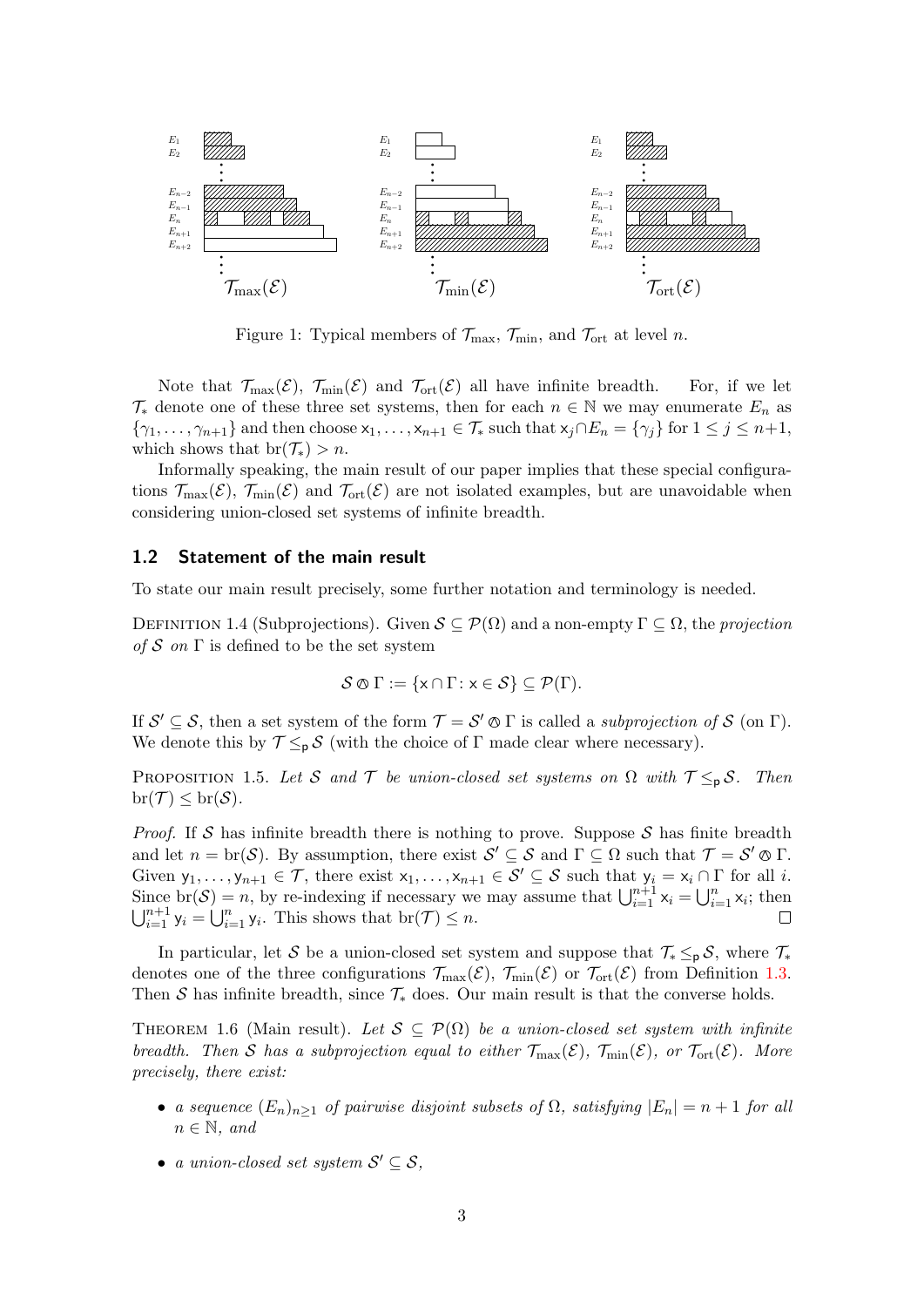

<span id="page-2-1"></span>Figure 1: Typical members of  $\mathcal{T}_{\text{max}}$ ,  $\mathcal{T}_{\text{min}}$ , and  $\mathcal{T}_{\text{ort}}$  at level n.

Note that  $\mathcal{T}_{\max}(\mathcal{E}), \ \mathcal{T}_{\min}(\mathcal{E})$  and  $\mathcal{T}_{\text{ort}}(\mathcal{E})$  all have infinite breadth. For, if we let  $\mathcal{T}_{*}$  denote one of these three set systems, then for each  $n \in \mathbb{N}$  we may enumerate  $E_n$  as  $\{\gamma_1,\ldots,\gamma_{n+1}\}\$  and then choose  $x_1,\ldots,x_{n+1}\in\mathcal{T}_*$  such that  $x_j\cap E_n=\{\gamma_j\}$  for  $1\leq j\leq n+1$ , which shows that  $br(\mathcal{T}_*) > n$ .

Informally speaking, the main result of our paper implies that these special configurations  $\mathcal{T}_{\max}(\mathcal{E})$ ,  $\mathcal{T}_{\min}(\mathcal{E})$  and  $\mathcal{T}_{\text{ort}}(\mathcal{E})$  are not isolated examples, but are unavoidable when considering union-closed set systems of infinite breadth.

#### <span id="page-2-0"></span>1.2 Statement of the main result

To state our main result precisely, some further notation and terminology is needed.

<span id="page-2-3"></span>DEFINITION 1.4 (Subprojections). Given  $\mathcal{S} \subseteq \mathcal{P}(\Omega)$  and a non-empty  $\Gamma \subseteq \Omega$ , the projection of S on  $\Gamma$  is defined to be the set system

$$
\mathcal{S} \otimes \Gamma := \{x \cap \Gamma : x \in \mathcal{S}\} \subseteq \mathcal{P}(\Gamma).
$$

If  $\mathcal{S}' \subseteq \mathcal{S}$ , then a set system of the form  $\mathcal{T} = \mathcal{S}' \otimes \Gamma$  is called a subprojection of  $\mathcal{S}$  (on  $\Gamma$ ). We denote this by  $\mathcal{T} \leq_{p} \mathcal{S}$  (with the choice of  $\Gamma$  made clear where necessary).

<span id="page-2-4"></span>PROPOSITION 1.5. Let S and T be union-closed set systems on  $\Omega$  with  $\mathcal{T} \leq_{p} \mathcal{S}$ . Then  $\mathrm{br}(\mathcal{T}) \leq \mathrm{br}(\mathcal{S}).$ 

*Proof.* If S has infinite breadth there is nothing to prove. Suppose S has finite breadth and let  $n = \text{br}(\mathcal{S})$ . By assumption, there exist  $\mathcal{S}' \subseteq \mathcal{S}$  and  $\Gamma \subseteq \Omega$  such that  $\mathcal{T} = \mathcal{S}' \otimes \Gamma$ . Given  $y_1, \ldots, y_{n+1} \in \mathcal{T}$ , there exist  $x_1, \ldots, x_{n+1} \in \mathcal{S}' \subseteq \mathcal{S}$  such that  $y_i = x_i \cap \Gamma$  for all i. Since  $\text{br}(\mathcal{S}) = n$ , by re-indexing if necessary we may assume that  $\bigcup_{i=1}^{n+1} x_i = \bigcup_{i=1}^n x_i$ ; then  $\bigcup_{i=1}^{n+1}$   $y_i = \bigcup_{i=1}^{n} y_i$ . This shows that  $\text{br}(\mathcal{T}) \leq n$ .  $\Box$ 

In particular, let S be a union-closed set system and suppose that  $\mathcal{T}_* \leq_p \mathcal{S}$ , where  $\mathcal{T}_*$ denotes one of the three configurations  $\mathcal{T}_{\text{max}}(\mathcal{E}), \mathcal{T}_{\text{min}}(\mathcal{E})$  or  $\mathcal{T}_{\text{ort}}(\mathcal{E})$  from Definition [1.3.](#page-1-3) Then S has infinite breadth, since  $\mathcal{T}_{*}$  does. Our main result is that the converse holds.

<span id="page-2-2"></span>THEOREM 1.6 (Main result). Let  $S \subseteq \mathcal{P}(\Omega)$  be a union-closed set system with infinite breadth. Then S has a subprojection equal to either  $\mathcal{T}_{\text{max}}(\mathcal{E})$ ,  $\mathcal{T}_{\text{min}}(\mathcal{E})$ , or  $\mathcal{T}_{\text{ort}}(\mathcal{E})$ . More precisely, there exist:

- a sequence  $(E_n)_{n\geq 1}$  of pairwise disjoint subsets of  $\Omega$ , satisfying  $|E_n| = n + 1$  for all  $n \in \mathbb{N}$ , and
- a union-closed set system  $S' \subseteq S$ ,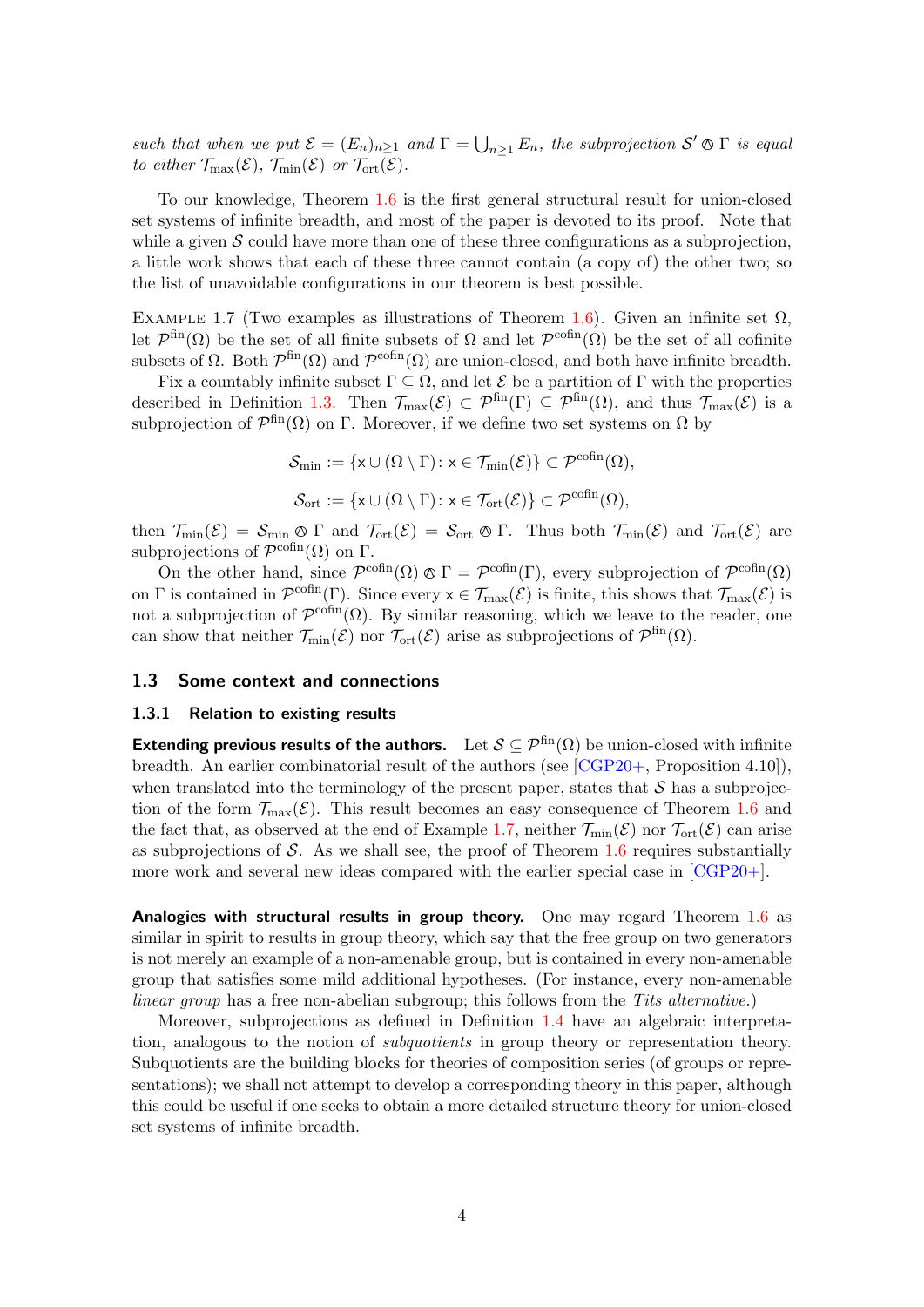such that when we put  $\mathcal{E} = (E_n)_{n \geq 1}$  and  $\Gamma = \bigcup_{n \geq 1} E_n$ , the subprojection  $\mathcal{S}' \otimes \Gamma$  is equal to either  $\mathcal{T}_{\max}(\mathcal{E})$ ,  $\mathcal{T}_{\min}(\mathcal{E})$  or  $\mathcal{T}_{\text{ort}}(\mathcal{E})$ .

To our knowledge, Theorem [1.6](#page-2-2) is the first general structural result for union-closed set systems of infinite breadth, and most of the paper is devoted to its proof. Note that while a given  $S$  could have more than one of these three configurations as a subprojection, a little work shows that each of these three cannot contain (a copy of) the other two; so the list of unavoidable configurations in our theorem is best possible.

<span id="page-3-2"></span>EXAMPLE 1.7 (Two examples as illustrations of Theorem [1.6\)](#page-2-2). Given an infinite set  $\Omega$ , let  $\mathcal{P}^{\text{fin}}(\Omega)$  be the set of all finite subsets of  $\Omega$  and let  $\mathcal{P}^{\text{cofin}}(\Omega)$  be the set of all cofinite subsets of  $\Omega$ . Both  $\mathcal{P}^{\text{fin}}(\Omega)$  and  $\mathcal{P}^{\text{cofin}}(\Omega)$  are union-closed, and both have infinite breadth.

Fix a countably infinite subset  $\Gamma \subseteq \Omega$ , and let  $\mathcal E$  be a partition of  $\Gamma$  with the properties described in Definition [1.3.](#page-1-3) Then  $\mathcal{T}_{\text{max}}(\mathcal{E}) \subset \mathcal{P}^{\text{fin}}(\Gamma) \subseteq \mathcal{P}^{\text{fin}}(\Omega)$ , and thus  $\mathcal{T}_{\text{max}}(\mathcal{E})$  is a subprojection of  $\mathcal{P}^{\text{fin}}(\Omega)$  on  $\Gamma$ . Moreover, if we define two set systems on  $\Omega$  by

$$
\mathcal{S}_{\min} := \{ \mathsf{x} \cup (\Omega \setminus \Gamma) \colon \mathsf{x} \in \mathcal{T}_{\min}(\mathcal{E}) \} \subset \mathcal{P}^{\text{cofin}}(\Omega),
$$
  

$$
\mathcal{S}_{\text{ort}} := \{ \mathsf{x} \cup (\Omega \setminus \Gamma) \colon \mathsf{x} \in \mathcal{T}_{\text{ort}}(\mathcal{E}) \} \subset \mathcal{P}^{\text{cofin}}(\Omega),
$$

then  $\mathcal{T}_{\min}(\mathcal{E}) = \mathcal{S}_{\min} \otimes \Gamma$  and  $\mathcal{T}_{\text{ort}}(\mathcal{E}) = \mathcal{S}_{\text{ort}} \otimes \Gamma$ . Thus both  $\mathcal{T}_{\min}(\mathcal{E})$  and  $\mathcal{T}_{\text{ort}}(\mathcal{E})$  are subprojections of  $\mathcal{P}^{\text{cofin}}(\Omega)$  on  $\Gamma$ .

On the other hand, since  $\mathcal{P}^{\text{cofin}}(\Omega) \otimes \Gamma = \mathcal{P}^{\text{cofin}}(\Gamma)$ , every subprojection of  $\mathcal{P}^{\text{cofin}}(\Omega)$ on  $\Gamma$  is contained in  $\mathcal{P}^{\text{cofin}}(\Gamma)$ . Since every  $x \in \mathcal{T}_{\text{max}}(\mathcal{E})$  is finite, this shows that  $\mathcal{T}_{\text{max}}(\mathcal{E})$  is not a subprojection of  $\mathcal{P}^{\text{cofin}}(\Omega)$ . By similar reasoning, which we leave to the reader, one can show that neither  $\mathcal{T}_{\text{min}}(\mathcal{E})$  nor  $\mathcal{T}_{\text{ort}}(\mathcal{E})$  arise as subprojections of  $\mathcal{P}^{\text{fin}}(\Omega)$ .

#### <span id="page-3-0"></span>1.3 Some context and connections

#### <span id="page-3-1"></span>1.3.1 Relation to existing results

Extending previous results of the authors. Let  $S \subseteq \mathcal{P}^{\text{fin}}(\Omega)$  be union-closed with infinite breadth. An earlier combinatorial result of the authors (see [\[CGP20+,](#page-20-0) Proposition 4.10]), when translated into the terminology of the present paper, states that  $S$  has a subprojection of the form  $\mathcal{T}_{\text{max}}(\mathcal{E})$ . This result becomes an easy consequence of Theorem [1.6](#page-2-2) and the fact that, as observed at the end of Example [1.7,](#page-3-2) neither  $\mathcal{T}_{min}(\mathcal{E})$  nor  $\mathcal{T}_{ort}(\mathcal{E})$  can arise as subprojections of  $S$ . As we shall see, the proof of Theorem [1.6](#page-2-2) requires substantially more work and several new ideas compared with the earlier special case in  $[CGP20+]$ .

Analogies with structural results in group theory. One may regard Theorem  $1.6$  as similar in spirit to results in group theory, which say that the free group on two generators is not merely an example of a non-amenable group, but is contained in every non-amenable group that satisfies some mild additional hypotheses. (For instance, every non-amenable linear group has a free non-abelian subgroup; this follows from the Tits alternative.)

Moreover, subprojections as defined in Definition [1.4](#page-2-3) have an algebraic interpretation, analogous to the notion of *subquotients* in group theory or representation theory. Subquotients are the building blocks for theories of composition series (of groups or representations); we shall not attempt to develop a corresponding theory in this paper, although this could be useful if one seeks to obtain a more detailed structure theory for union-closed set systems of infinite breadth.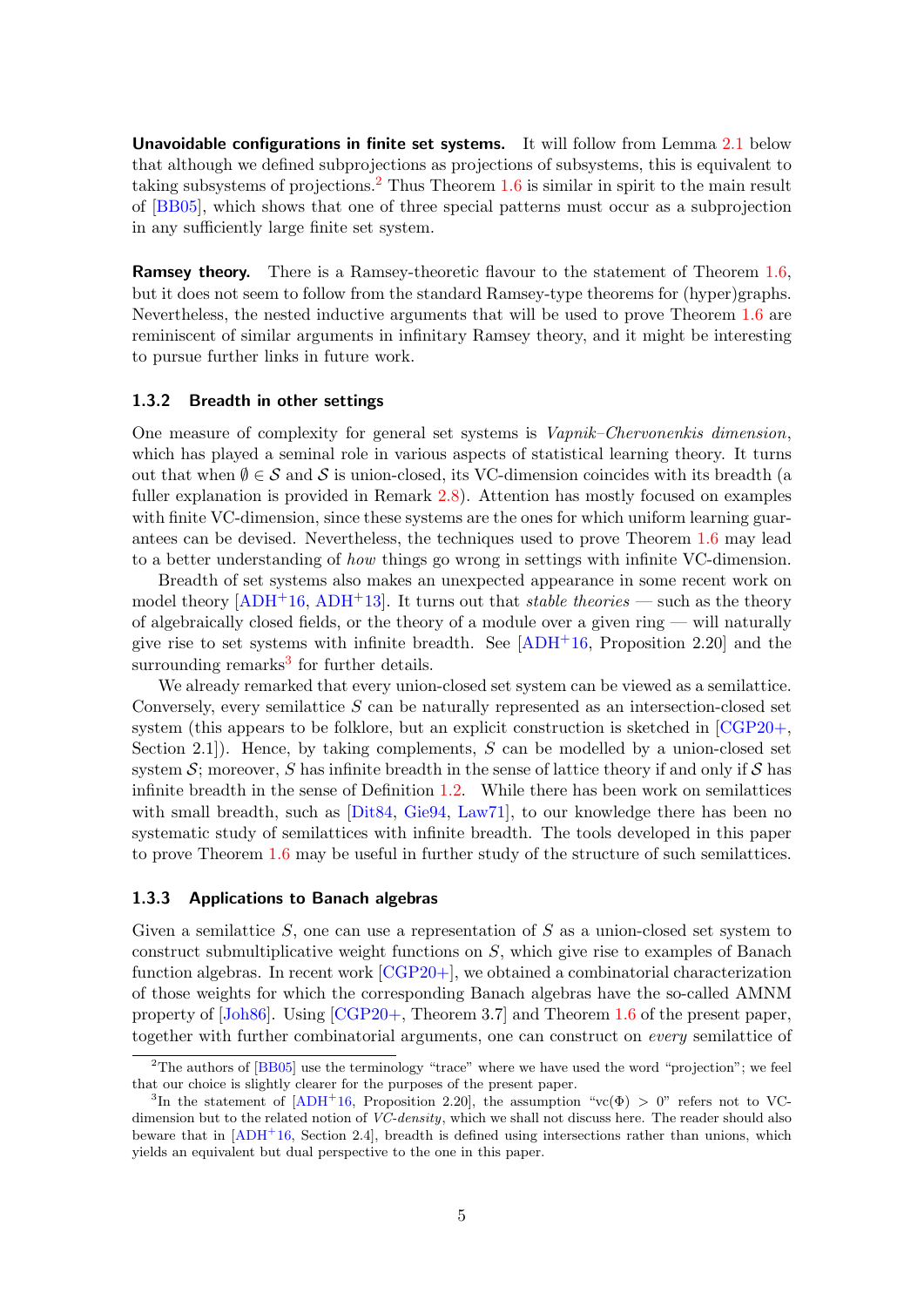Unavoidable configurations in finite set systems. It will follow from Lemma [2.1](#page-6-3) below that although we defined subprojections as projections of subsystems, this is equivalent to taking subsystems of projections.<sup>[2](#page-4-2)</sup> Thus Theorem  $1.6$  is similar in spirit to the main result of [\[BB05\]](#page-20-1), which shows that one of three special patterns must occur as a subprojection in any sufficiently large finite set system.

**Ramsey theory.** There is a Ramsey-theoretic flavour to the statement of Theorem [1.6,](#page-2-2) but it does not seem to follow from the standard Ramsey-type theorems for (hyper)graphs. Nevertheless, the nested inductive arguments that will be used to prove Theorem [1.6](#page-2-2) are reminiscent of similar arguments in infinitary Ramsey theory, and it might be interesting to pursue further links in future work.

#### <span id="page-4-0"></span>1.3.2 Breadth in other settings

One measure of complexity for general set systems is Vapnik–Chervonenkis dimension, which has played a seminal role in various aspects of statistical learning theory. It turns out that when  $\emptyset \in \mathcal{S}$  and  $\mathcal{S}$  is union-closed, its VC-dimension coincides with its breadth (a fuller explanation is provided in Remark [2.8\)](#page-9-1). Attention has mostly focused on examples with finite VC-dimension, since these systems are the ones for which uniform learning guarantees can be devised. Nevertheless, the techniques used to prove Theorem [1.6](#page-2-2) may lead to a better understanding of how things go wrong in settings with infinite VC-dimension.

Breadth of set systems also makes an unexpected appearance in some recent work on model theory  $[ADH^+16, ADH^+13]$  $[ADH^+16, ADH^+13]$  $[ADH^+16, ADH^+13]$ . It turns out that *stable theories* — such as the theory of algebraically closed fields, or the theory of a module over a given ring — will naturally give rise to set systems with infinite breadth. See  $[ADH<sup>+</sup>16$ , Proposition 2.20 and the surrounding remarks<sup>[3](#page-4-3)</sup> for further details.

We already remarked that every union-closed set system can be viewed as a semilattice. Conversely, every semilattice  $S$  can be naturally represented as an intersection-closed set system (this appears to be folklore, but an explicit construction is sketched in [\[CGP20+,](#page-20-0) Section 2.1.). Hence, by taking complements,  $S$  can be modelled by a union-closed set system  $\mathcal{S}$ ; moreover, S has infinite breadth in the sense of lattice theory if and only if  $\mathcal{S}$  has infinite breadth in the sense of Definition [1.2.](#page-1-4) While there has been work on semilattices with small breadth, such as [\[Dit84,](#page-20-2) [Gie94,](#page-20-3) [Law71\]](#page-20-4), to our knowledge there has been no systematic study of semilattices with infinite breadth. The tools developed in this paper to prove Theorem [1.6](#page-2-2) may be useful in further study of the structure of such semilattices.

#### <span id="page-4-1"></span>1.3.3 Applications to Banach algebras

Given a semilattice  $S$ , one can use a representation of  $S$  as a union-closed set system to construct submultiplicative weight functions on  $S$ , which give rise to examples of Banach function algebras. In recent work [\[CGP20+\]](#page-20-0), we obtained a combinatorial characterization of those weights for which the corresponding Banach algebras have the so-called AMNM property of [\[Joh86\]](#page-20-5). Using [\[CGP20+,](#page-20-0) Theorem 3.7] and Theorem [1.6](#page-2-2) of the present paper, together with further combinatorial arguments, one can construct on every semilattice of

<span id="page-4-2"></span><sup>&</sup>lt;sup>2</sup>The authors of [\[BB05\]](#page-20-1) use the terminology "trace" where we have used the word "projection"; we feel that our choice is slightly clearer for the purposes of the present paper.

<span id="page-4-3"></span><sup>&</sup>lt;sup>3</sup>In the statement of  $[ADH^+16,$  $[ADH^+16,$  Proposition 2.20], the assumption "vc( $\Phi$ ) > 0" refers not to VCdimension but to the related notion of VC-density, which we shall not discuss here. The reader should also beware that in  $[ADH<sup>+</sup>16$  $[ADH<sup>+</sup>16$ , Section 2.4], breadth is defined using intersections rather than unions, which yields an equivalent but dual perspective to the one in this paper.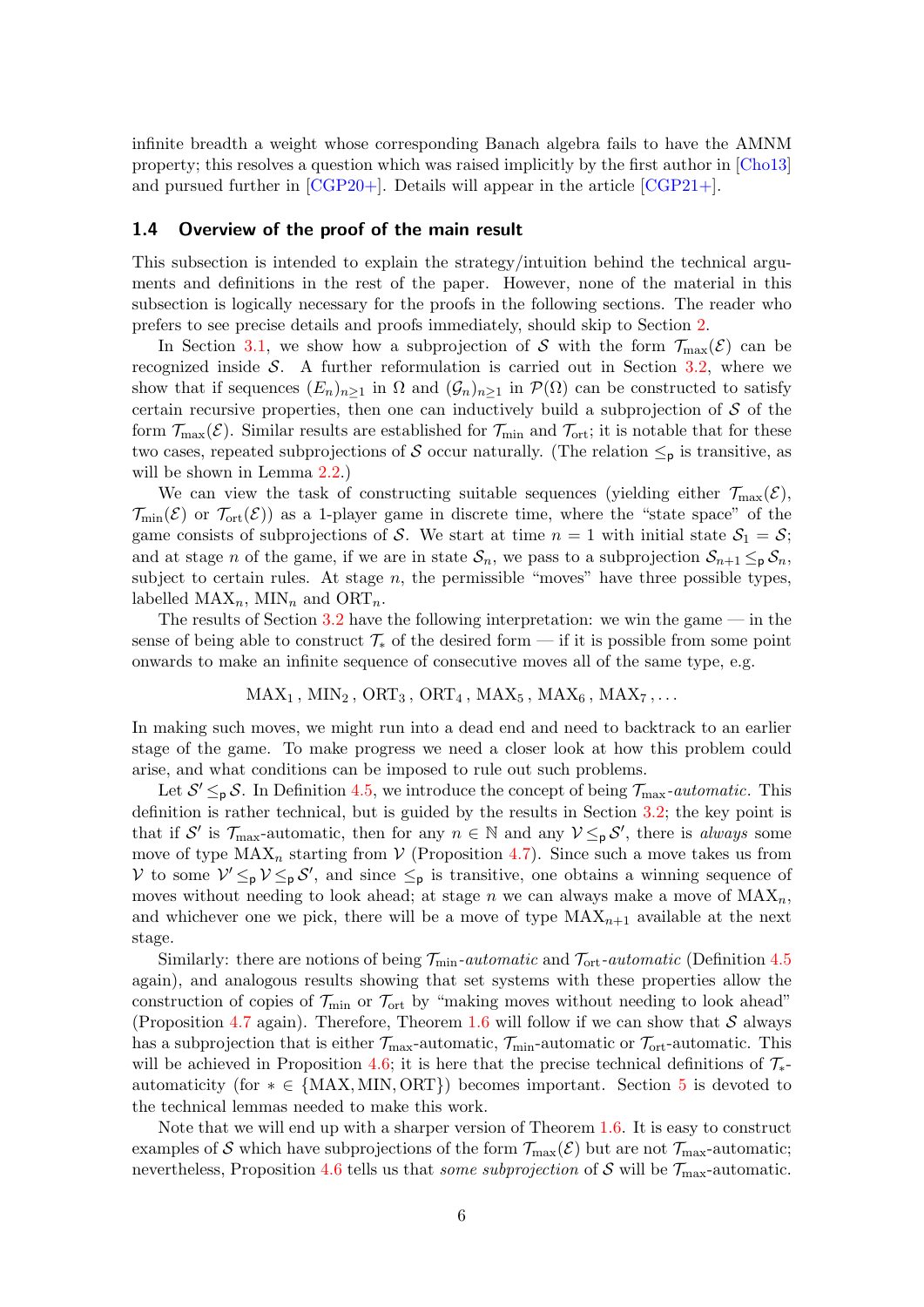infinite breadth a weight whose corresponding Banach algebra fails to have the AMNM property; this resolves a question which was raised implicitly by the first author in [\[Cho13\]](#page-20-6) and pursued further in [\[CGP20+\]](#page-20-0). Details will appear in the article [\[CGP21+\]](#page-20-7).

#### <span id="page-5-0"></span>1.4 Overview of the proof of the main result

This subsection is intended to explain the strategy/intuition behind the technical arguments and definitions in the rest of the paper. However, none of the material in this subsection is logically necessary for the proofs in the following sections. The reader who prefers to see precise details and proofs immediately, should skip to Section [2.](#page-6-0)

In Section [3.1,](#page-10-1) we show how a subprojection of S with the form  $\mathcal{T}_{\text{max}}(\mathcal{E})$  can be recognized inside  $S$ . A further reformulation is carried out in Section [3.2,](#page-12-0) where we show that if sequences  $(E_n)_{n\geq 1}$  in  $\Omega$  and  $(\mathcal{G}_n)_{n\geq 1}$  in  $\mathcal{P}(\Omega)$  can be constructed to satisfy certain recursive properties, then one can inductively build a subprojection of  $S$  of the form  $\mathcal{T}_{\max}(\mathcal{E})$ . Similar results are established for  $\mathcal{T}_{\min}$  and  $\mathcal{T}_{\rm ort}$ ; it is notable that for these two cases, repeated subprojections of S occur naturally. (The relation  $\leq_{p}$  is transitive, as will be shown in Lemma  $2.2$ .)

We can view the task of constructing suitable sequences (yielding either  $\mathcal{T}_{\text{max}}(\mathcal{E}),$  $\mathcal{T}_{\text{min}}(\mathcal{E})$  or  $\mathcal{T}_{\text{ort}}(\mathcal{E})$  as a 1-player game in discrete time, where the "state space" of the game consists of subprojections of S. We start at time  $n = 1$  with initial state  $S_1 = S$ ; and at stage n of the game, if we are in state  $S_n$ , we pass to a subprojection  $S_{n+1} \leq_{\mathsf{p}} S_n$ , subject to certain rules. At stage  $n$ , the permissible "moves" have three possible types, labelled  $MAX_n$ , MIN<sub>n</sub> and ORT<sub>n</sub>.

The results of Section  $3.2$  have the following interpretation: we win the game — in the sense of being able to construct  $\mathcal{T}_{*}$  of the desired form — if it is possible from some point onwards to make an infinite sequence of consecutive moves all of the same type, e.g.

 $MAX_1$ ,  $MIN_2$ ,  $ORT_3$ ,  $ORT_4$ ,  $MAX_5$ ,  $MAX_6$ ,  $MAX_7$ , ...

In making such moves, we might run into a dead end and need to backtrack to an earlier stage of the game. To make progress we need a closer look at how this problem could arise, and what conditions can be imposed to rule out such problems.

Let  $S' \leq_{p} S$ . In Definition [4.5,](#page-15-0) we introduce the concept of being  $\mathcal{T}_{\text{max}}$ -automatic. This definition is rather technical, but is guided by the results in Section [3.2;](#page-12-0) the key point is that if S' is  $\mathcal{T}_{\text{max}}$ -automatic, then for any  $n \in \mathbb{N}$  and any  $\mathcal{V} \leq_{p} \mathcal{S}'$ , there is *always* some move of type  $MAX_n$  starting from  $V$  (Proposition [4.7\)](#page-15-1). Since such a move takes us from V to some  $V' \leq_{p} V \leq_{p} S'$ , and since  $\leq_{p}$  is transitive, one obtains a winning sequence of moves without needing to look ahead; at stage n we can always make a move of  $\text{MAX}_n$ , and whichever one we pick, there will be a move of type  $MAX_{n+1}$  available at the next stage.

Similarly: there are notions of being  $\mathcal{T}_{\text{min}}$ -automatic and  $\mathcal{T}_{\text{ort}}$ -automatic (Definition [4.5](#page-15-0) again), and analogous results showing that set systems with these properties allow the construction of copies of  $\mathcal{T}_{\text{min}}$  or  $\mathcal{T}_{\text{ort}}$  by "making moves without needing to look ahead" (Proposition [4.7](#page-15-1) again). Therefore, Theorem [1.6](#page-2-2) will follow if we can show that  $S$  always has a subprojection that is either  $\mathcal{T}_{\text{max}}$ -automatic,  $\mathcal{T}_{\text{min}}$ -automatic or  $\mathcal{T}_{\text{ort}}$ -automatic. This will be achieved in Proposition [4.6;](#page-15-2) it is here that the precise technical definitions of  $\mathcal{T}_{*}$ automaticity (for  $* \in \{MAX, MIN, ORT\}$ ) becomes important. Section [5](#page-17-0) is devoted to the technical lemmas needed to make this work.

Note that we will end up with a sharper version of Theorem [1.6.](#page-2-2) It is easy to construct examples of S which have subprojections of the form  $\mathcal{T}_{\text{max}}(\mathcal{E})$  but are not  $\mathcal{T}_{\text{max}}$ -automatic; nevertheless, Proposition [4.6](#page-15-2) tells us that *some subprojection* of S will be  $\mathcal{T}_{\text{max}}$ -automatic.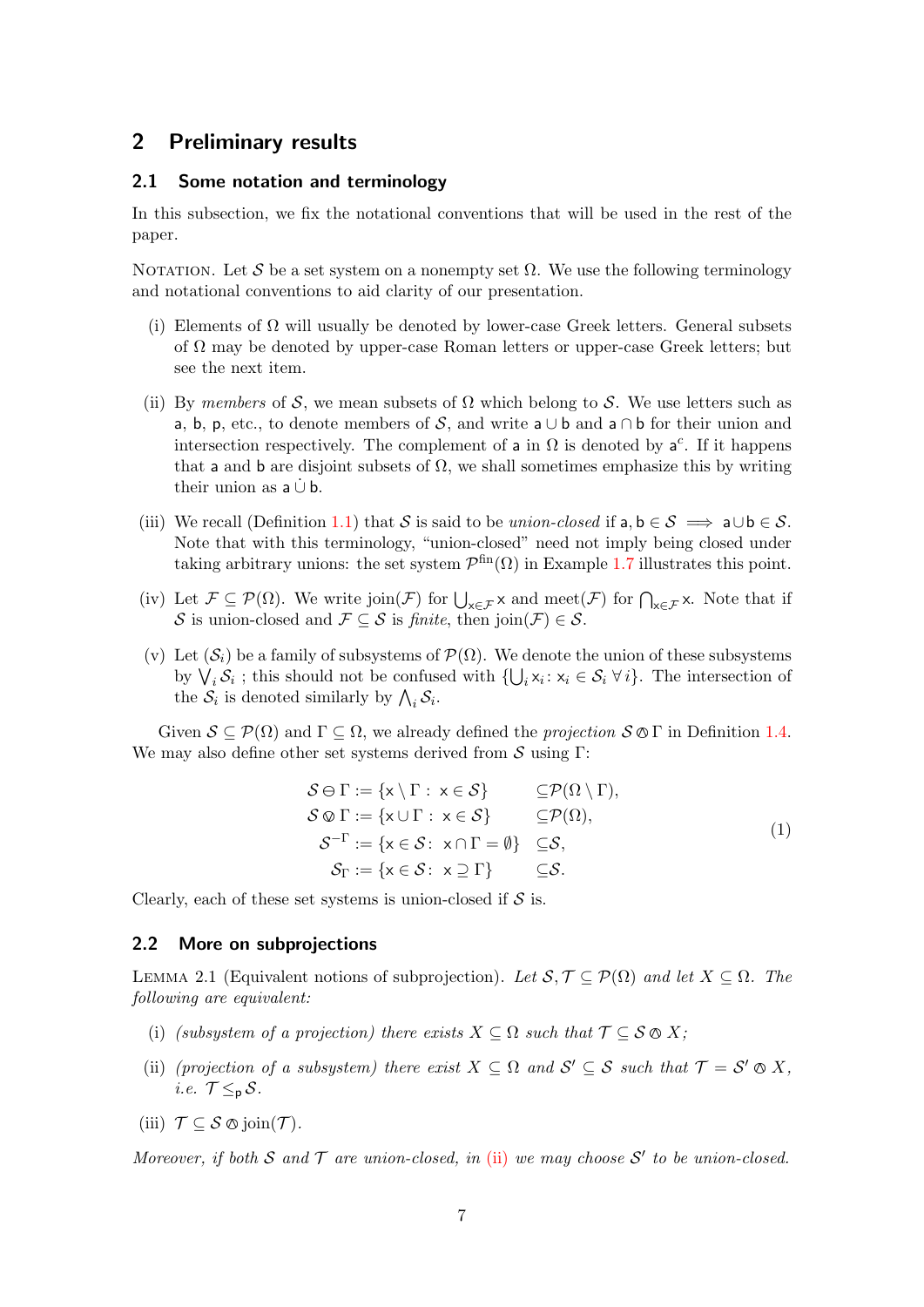## <span id="page-6-0"></span>2 Preliminary results

#### <span id="page-6-1"></span>2.1 Some notation and terminology

In this subsection, we fix the notational conventions that will be used in the rest of the paper.

NOTATION. Let S be a set system on a nonempty set  $\Omega$ . We use the following terminology and notational conventions to aid clarity of our presentation.

- (i) Elements of  $\Omega$  will usually be denoted by lower-case Greek letters. General subsets of  $\Omega$  may be denoted by upper-case Roman letters or upper-case Greek letters; but see the next item.
- (ii) By members of S, we mean subsets of  $\Omega$  which belong to S. We use letters such as a, b, p, etc., to denote members of S, and write a  $\cup$  b and a  $\cap$  b for their union and intersection respectively. The complement of a in  $\Omega$  is denoted by  $a^c$ . If it happens that a and b are disjoint subsets of  $\Omega$ , we shall sometimes emphasize this by writing their union as  $a \cup b$ .
- (iii) We recall (Definition [1.1\)](#page-1-5) that S is said to be union-closed if a,  $b \in S \implies a \cup b \in S$ . Note that with this terminology, "union-closed" need not imply being closed under taking arbitrary unions: the set system  $\mathcal{P}^{\text{fin}}(\Omega)$  in Example [1.7](#page-3-2) illustrates this point.
- (iv) Let  $\mathcal{F} \subseteq \mathcal{P}(\Omega)$ . We write join( $\mathcal{F}$ ) for  $\bigcup_{x \in \mathcal{F}} x$  and meet( $\mathcal{F}$ ) for  $\bigcap_{x \in \mathcal{F}} x$ . Note that if S is union-closed and  $\mathcal{F} \subseteq \mathcal{S}$  is finite, then join $(\mathcal{F}) \in \mathcal{S}$ .
- (v) Let  $(\mathcal{S}_i)$  be a family of subsystems of  $\mathcal{P}(\Omega)$ . We denote the union of these subsystems by  $\bigvee_i \mathcal{S}_i$ ; this should not be confused with  $\{\bigcup_i x_i : x_i \in \mathcal{S}_i \ \forall i\}$ . The intersection of the  $S_i$  is denoted similarly by  $\bigwedge_i S_i$ .

Given  $S \subseteq \mathcal{P}(\Omega)$  and  $\Gamma \subseteq \Omega$ , we already defined the *projection*  $S \otimes \Gamma$  in Definition [1.4.](#page-2-3) We may also define other set systems derived from  $\mathcal S$  using Γ:

$$
S \ominus \Gamma := \{x \setminus \Gamma : x \in S\} \subseteq \mathcal{P}(\Omega \setminus \Gamma),
$$
  
\n
$$
S \otimes \Gamma := \{x \cup \Gamma : x \in S\} \subseteq \mathcal{P}(\Omega),
$$
  
\n
$$
S^{-\Gamma} := \{x \in S : x \cap \Gamma = \emptyset\} \subseteq S,
$$
  
\n
$$
S_{\Gamma} := \{x \in S : x \supseteq \Gamma\} \subseteq S.
$$
  
\n(1)

Clearly, each of these set systems is union-closed if  $S$  is.

#### <span id="page-6-2"></span>2.2 More on subprojections

<span id="page-6-3"></span>LEMMA 2.1 (Equivalent notions of subprojection). Let  $S, \mathcal{T} \subseteq \mathcal{P}(\Omega)$  and let  $X \subseteq \Omega$ . The following are equivalent:

- <span id="page-6-5"></span>(i) (subsystem of a projection) there exists  $X \subseteq \Omega$  such that  $\mathcal{T} \subseteq \mathcal{S} \otimes X$ ;
- <span id="page-6-4"></span>(ii) (projection of a subsystem) there exist  $X \subseteq \Omega$  and  $S' \subseteq S$  such that  $\mathcal{T} = S' \otimes X$ , i.e.  $\mathcal{T} \leq_{p} \mathcal{S}$ .
- <span id="page-6-6"></span>(iii)  $\mathcal{T} \subseteq \mathcal{S} \otimes \text{join}(\mathcal{T})$ .

Moreover, if both S and T are union-closed, in [\(ii\)](#page-6-4) we may choose  $S'$  to be union-closed.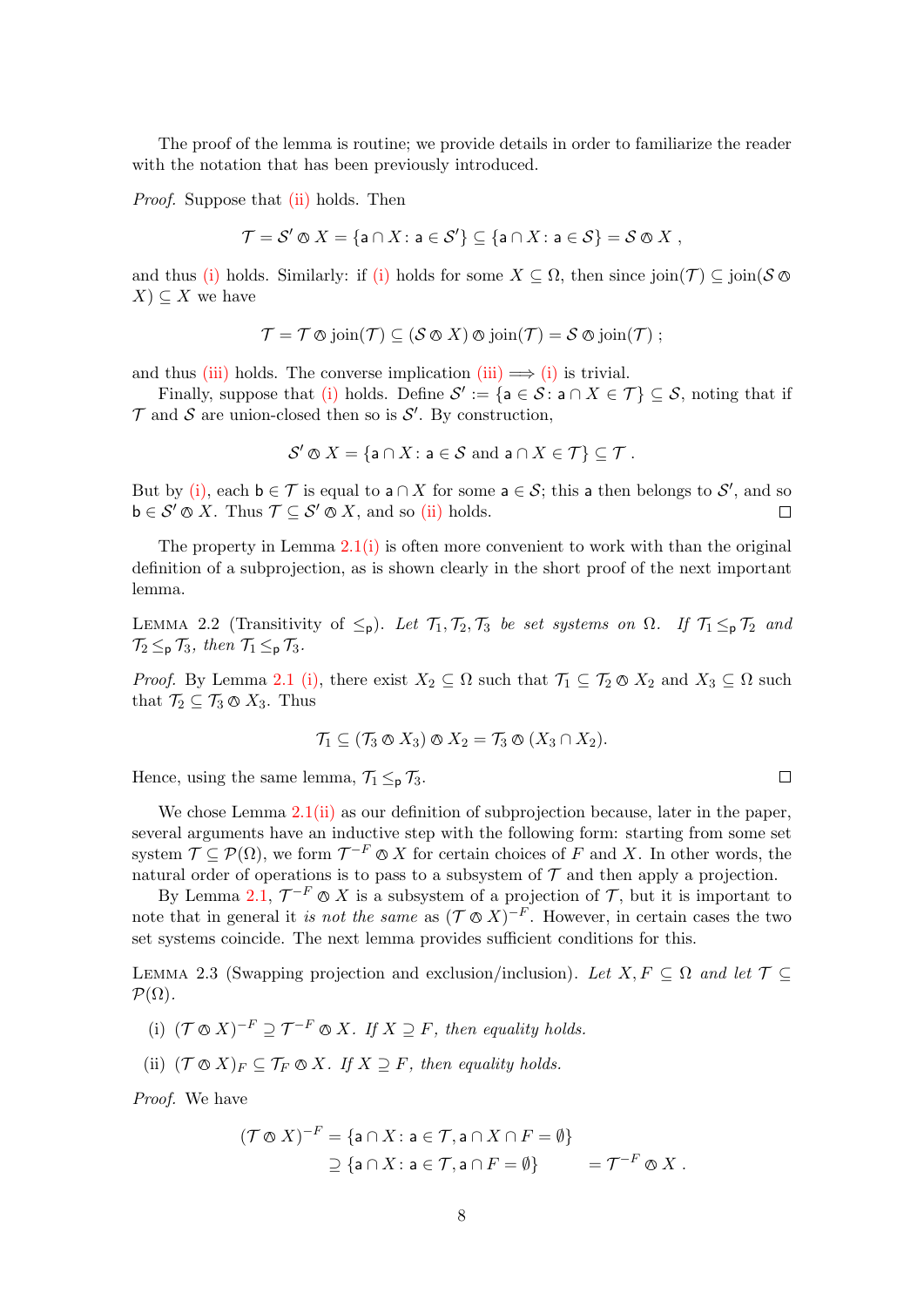The proof of the lemma is routine; we provide details in order to familiarize the reader with the notation that has been previously introduced.

Proof. Suppose that [\(ii\)](#page-6-4) holds. Then

$$
\mathcal{T} = \mathcal{S}' \otimes X = \{ \mathsf{a} \cap X : \mathsf{a} \in \mathcal{S}' \} \subseteq \{ \mathsf{a} \cap X : \mathsf{a} \in \mathcal{S} \} = \mathcal{S} \otimes X ,
$$

and thus [\(i\)](#page-6-5) holds. Similarly: if (i) holds for some  $X \subseteq \Omega$ , then since join( $\mathcal{T}$ )  $\subseteq$  join( $\mathcal{S} \otimes$  $X) \subseteq X$  we have

$$
\mathcal{T} = \mathcal{T} \otimes \text{join}(\mathcal{T}) \subseteq (\mathcal{S} \otimes X) \otimes \text{join}(\mathcal{T}) = \mathcal{S} \otimes \text{join}(\mathcal{T}) ;
$$

and thus [\(iii\)](#page-6-6) holds. The converse implication (iii)  $\implies$  [\(i\)](#page-6-5) is trivial.

Finally, suppose that [\(i\)](#page-6-5) holds. Define  $\mathcal{S}' := \{ \mathsf{a} \in \mathcal{S} : \mathsf{a} \cap X \in \mathcal{T} \} \subseteq \mathcal{S}$ , noting that if  $\mathcal T$  and  $\mathcal S$  are union-closed then so is  $\mathcal S'$ . By construction,

$$
\mathcal{S}' \otimes X = \{ \mathsf{a} \cap X : \mathsf{a} \in \mathcal{S} \text{ and } \mathsf{a} \cap X \in \mathcal{T} \} \subseteq \mathcal{T}.
$$

But by [\(i\),](#page-6-5) each  $b \in \mathcal{T}$  is equal to  $a \cap X$  for some  $a \in \mathcal{S}$ ; this a then belongs to  $\mathcal{S}'$ , and so  $\mathsf{b} \in \mathcal{S}' \otimes X$ . Thus  $\mathcal{T} \subseteq \mathcal{S}' \otimes X$ , and so [\(ii\)](#page-6-4) holds.  $\Box$ 

The property in Lemma  $2.1(i)$  $2.1(i)$  is often more convenient to work with than the original definition of a subprojection, as is shown clearly in the short proof of the next important lemma.

<span id="page-7-0"></span>LEMMA 2.2 (Transitivity of  $\leq_p$ ). Let  $\mathcal{T}_1, \mathcal{T}_2, \mathcal{T}_3$  be set systems on  $\Omega$ . If  $\mathcal{T}_1 \leq_p \mathcal{T}_2$  and  $\mathcal{T}_2 \leq_{\mathsf{p}} \mathcal{T}_3$ , then  $\mathcal{T}_1 \leq_{\mathsf{p}} \mathcal{T}_3$ .

*Proof.* By Lemma [2.1](#page-6-3) [\(i\),](#page-6-5) there exist  $X_2 \subseteq \Omega$  such that  $\mathcal{T}_1 \subseteq \mathcal{T}_2 \otimes X_2$  and  $X_3 \subseteq \Omega$  such that  $\mathcal{T}_2 \subseteq \mathcal{T}_3 \otimes X_3$ . Thus

$$
\mathcal{T}_1 \subseteq (\mathcal{T}_3 \otimes X_3) \otimes X_2 = \mathcal{T}_3 \otimes (X_3 \cap X_2).
$$

Hence, using the same lemma,  $\mathcal{T}_1 \leq_{\mathsf{p}} \mathcal{T}_3$ .

We chose Lemma [2.1](#page-6-3)[\(ii\)](#page-6-4) as our definition of subprojection because, later in the paper, several arguments have an inductive step with the following form: starting from some set system  $\mathcal{T} \subseteq \mathcal{P}(\Omega)$ , we form  $\mathcal{T}^{-F} \otimes X$  for certain choices of F and X. In other words, the natural order of operations is to pass to a subsystem of  $\mathcal T$  and then apply a projection.

By Lemma [2.1,](#page-6-3)  $\mathcal{T}^{-F} \otimes X$  is a subsystem of a projection of  $\mathcal{T}$ , but it is important to note that in general it is not the same as  $(\mathcal{T} \otimes X)^{-F}$ . However, in certain cases the two set systems coincide. The next lemma provides sufficient conditions for this.

<span id="page-7-3"></span>LEMMA 2.3 (Swapping projection and exclusion/inclusion). Let  $X, F \subseteq \Omega$  and let  $\mathcal{T} \subseteq$  $\mathcal{P}(\Omega)$ .

- <span id="page-7-1"></span>(i)  $(\mathcal{T} \otimes X)^{-F} \supseteq \mathcal{T}^{-F} \otimes X$ . If  $X \supseteq F$ , then equality holds.
- <span id="page-7-2"></span>(ii)  $({\mathcal T} \otimes X)_F \subseteq {\mathcal T}_F \otimes X$ . If  $X \supseteq F$ , then equality holds.

Proof. We have

$$
(\mathcal{T} \otimes X)^{-F} = \{ \mathsf{a} \cap X \colon \mathsf{a} \in \mathcal{T}, \mathsf{a} \cap X \cap F = \emptyset \}
$$
  
 
$$
\supseteq \{ \mathsf{a} \cap X \colon \mathsf{a} \in \mathcal{T}, \mathsf{a} \cap F = \emptyset \} = \mathcal{T}^{-F} \otimes X.
$$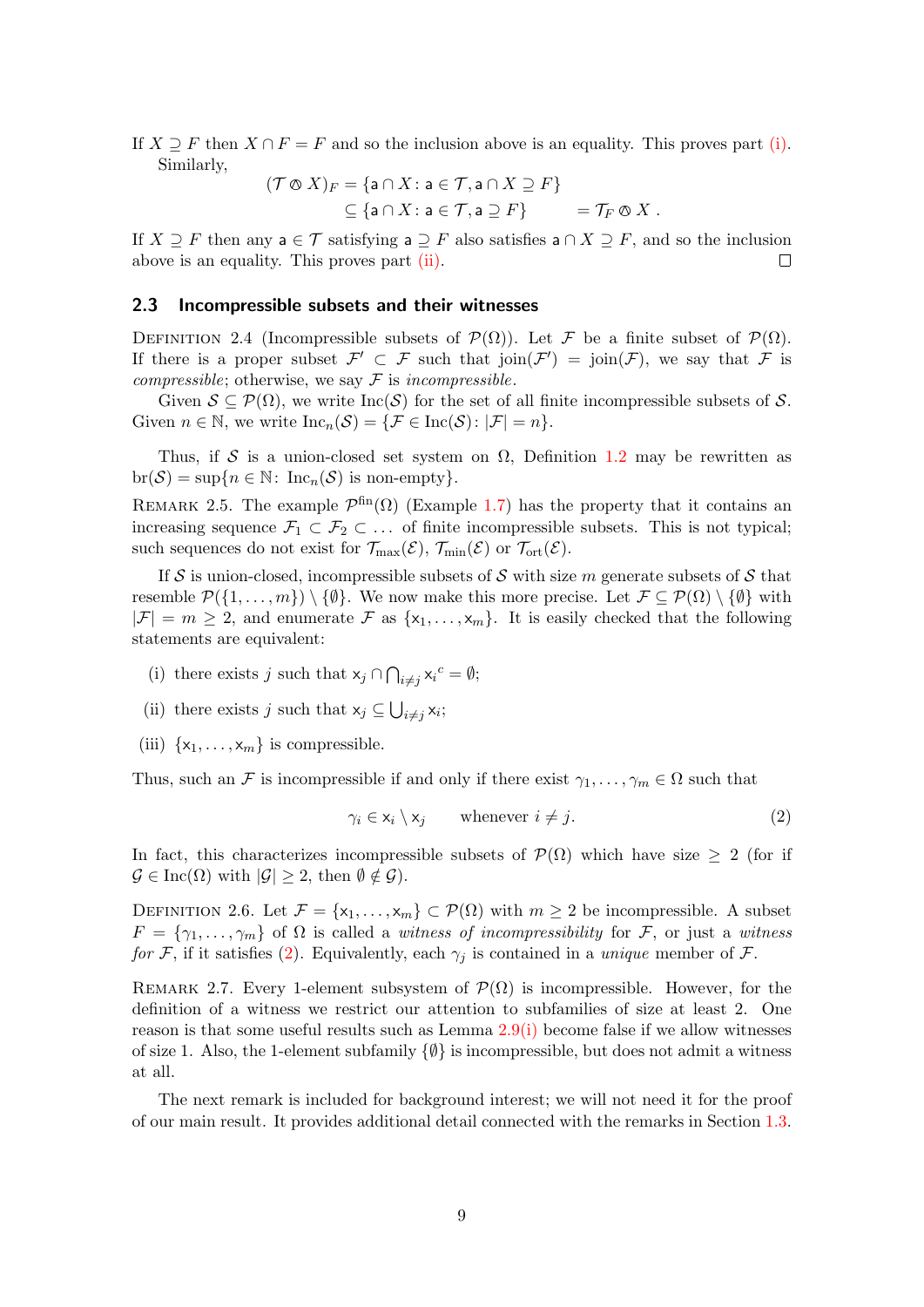If  $X \supseteq F$  then  $X \cap F = F$  and so the inclusion above is an equality. This proves part [\(i\).](#page-7-1) Similarly,

$$
(\mathcal{T} \otimes X)_{F} = \{ \mathsf{a} \cap X \colon \mathsf{a} \in \mathcal{T}, \mathsf{a} \cap X \supseteq F \} \subseteq \{ \mathsf{a} \cap X \colon \mathsf{a} \in \mathcal{T}, \mathsf{a} \supseteq F \} = \mathcal{T}_{F} \otimes X.
$$

If  $X \supseteq F$  then any  $a \in \mathcal{T}$  satisfying  $a \supseteq F$  also satisfies  $a \cap X \supseteq F$ , and so the inclusion above is an equality. This proves part [\(ii\).](#page-7-2)  $\Box$ 

#### <span id="page-8-0"></span>2.3 Incompressible subsets and their witnesses

DEFINITION 2.4 (Incompressible subsets of  $\mathcal{P}(\Omega)$ ). Let F be a finite subset of  $\mathcal{P}(\Omega)$ . If there is a proper subset  $\mathcal{F}' \subset \mathcal{F}$  such that  $\text{join}(\mathcal{F}') = \text{join}(\mathcal{F})$ , we say that  $\mathcal{F}$  is *compressible*; otherwise, we say  $\mathcal F$  is *incompressible*.

Given  $S \subseteq \mathcal{P}(\Omega)$ , we write  $Inc(\mathcal{S})$  for the set of all finite incompressible subsets of S. Given  $n \in \mathbb{N}$ , we write  $\text{Inc}_n(\mathcal{S}) = \{ \mathcal{F} \in \text{Inc}(\mathcal{S}) : |\mathcal{F}| = n \}.$ 

Thus, if S is a union-closed set system on  $\Omega$ , Definition [1.2](#page-1-4) may be rewritten as  $\text{br}(\mathcal{S}) = \sup\{n \in \mathbb{N}: \text{ Inc}_n(\mathcal{S}) \text{ is non-empty}\}.$ 

REMARK 2.5. The example  $\mathcal{P}^{\text{fin}}(\Omega)$  (Example [1.7\)](#page-3-2) has the property that it contains an increasing sequence  $\mathcal{F}_1 \subset \mathcal{F}_2 \subset \ldots$  of finite incompressible subsets. This is not typical; such sequences do not exist for  $\mathcal{T}_{\max}(\mathcal{E})$ ,  $\mathcal{T}_{\min}(\mathcal{E})$  or  $\mathcal{T}_{\text{ort}}(\mathcal{E})$ .

If S is union-closed, incompressible subsets of S with size m generate subsets of S that resemble  $\mathcal{P}(\{1,\ldots,m\})\setminus\{\emptyset\}$ . We now make this more precise. Let  $\mathcal{F}\subseteq\mathcal{P}(\Omega)\setminus\{\emptyset\}$  with  $|\mathcal{F}| = m \geq 2$ , and enumerate  $\mathcal{F}$  as  $\{x_1, \ldots, x_m\}$ . It is easily checked that the following statements are equivalent:

- (i) there exists j such that  $x_j \cap \bigcap_{i \neq j} x_i^c = \emptyset;$
- (ii) there exists j such that  $x_j \subseteq \bigcup_{i \neq j} x_i$ ;
- (iii)  $\{x_1, \ldots, x_m\}$  is compressible.

Thus, such an F is incompressible if and only if there exist  $\gamma_1, \ldots, \gamma_m \in \Omega$  such that

<span id="page-8-1"></span>
$$
\gamma_i \in \mathsf{x}_i \setminus \mathsf{x}_j \qquad \text{whenever } i \neq j. \tag{2}
$$

In fact, this characterizes incompressible subsets of  $\mathcal{P}(\Omega)$  which have size  $\geq 2$  (for if  $\mathcal{G} \in \text{Inc}(\Omega)$  with  $|\mathcal{G}| \geq 2$ , then  $\emptyset \notin \mathcal{G}$ ).

DEFINITION 2.6. Let  $\mathcal{F} = \{x_1, \ldots, x_m\} \subset \mathcal{P}(\Omega)$  with  $m \geq 2$  be incompressible. A subset  $F = \{\gamma_1, \ldots, \gamma_m\}$  of  $\Omega$  is called a witness of incompressibility for F, or just a witness for F, if it satisfies [\(2\)](#page-8-1). Equivalently, each  $\gamma_j$  is contained in a unique member of F.

REMARK 2.7. Every 1-element subsystem of  $\mathcal{P}(\Omega)$  is incompressible. However, for the definition of a witness we restrict our attention to subfamilies of size at least 2. One reason is that some useful results such as Lemma [2.9](#page-9-2)[\(i\)](#page-9-3) become false if we allow witnesses of size 1. Also, the 1-element subfamily  $\{\emptyset\}$  is incompressible, but does not admit a witness at all.

The next remark is included for background interest; we will not need it for the proof of our main result. It provides additional detail connected with the remarks in Section [1.3.](#page-3-0)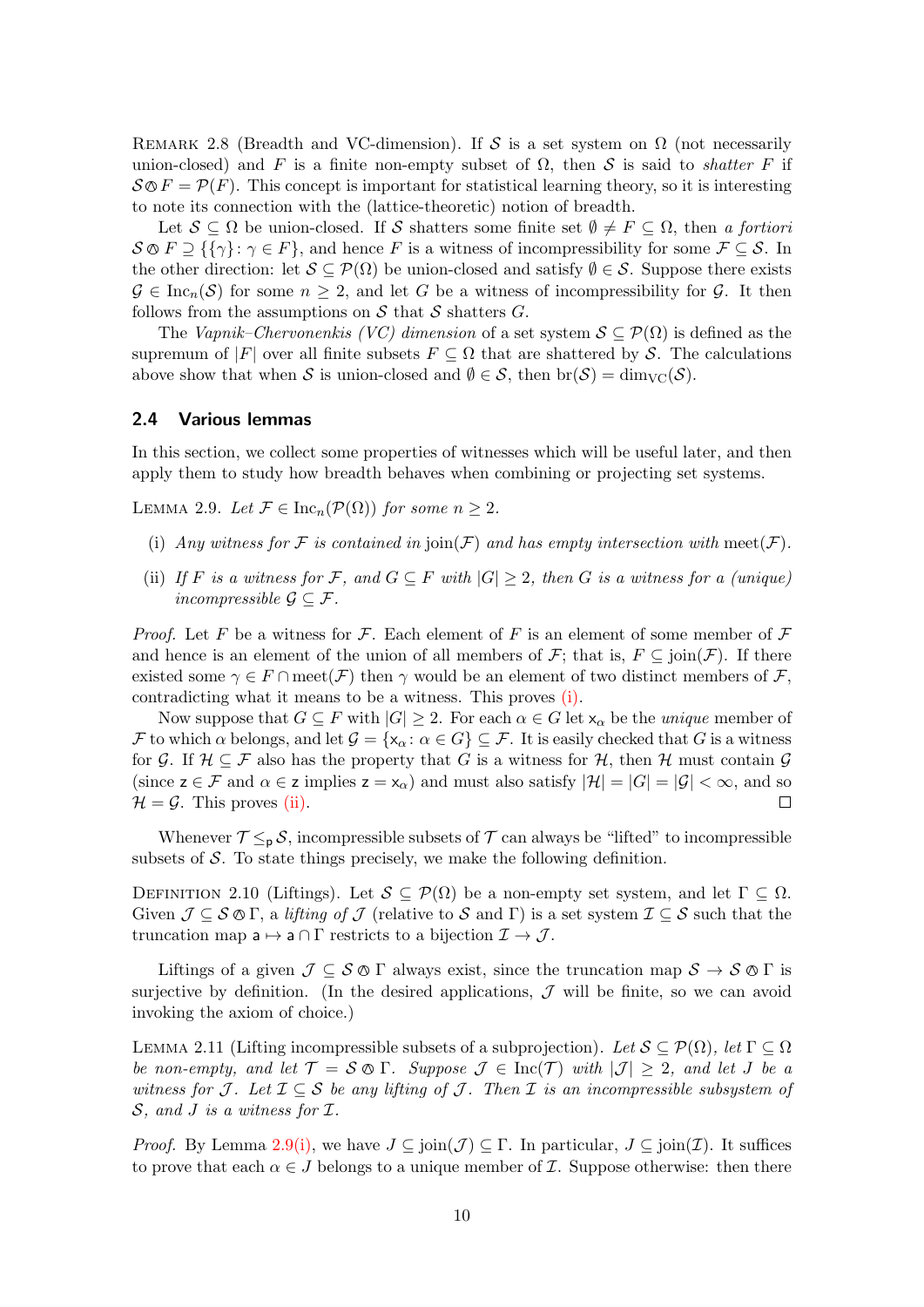<span id="page-9-1"></span>REMARK 2.8 (Breadth and VC-dimension). If S is a set system on  $\Omega$  (not necessarily union-closed) and F is a finite non-empty subset of  $\Omega$ , then S is said to *shatter* F if  $\mathcal{S} \otimes F = \mathcal{P}(F)$ . This concept is important for statistical learning theory, so it is interesting to note its connection with the (lattice-theoretic) notion of breadth.

Let  $S \subseteq \Omega$  be union-closed. If S shatters some finite set  $\emptyset \neq F \subseteq \Omega$ , then a fortiori  $S \otimes F \supseteq {\{\gamma\}}$ :  $\gamma \in F$ , and hence F is a witness of incompressibility for some  $\mathcal{F} \subseteq \mathcal{S}$ . In the other direction: let  $S \subseteq \mathcal{P}(\Omega)$  be union-closed and satisfy  $\emptyset \in \mathcal{S}$ . Suppose there exists  $\mathcal{G} \in \text{Inc}_n(\mathcal{S})$  for some  $n \geq 2$ , and let G be a witness of incompressibility for  $\mathcal{G}$ . It then follows from the assumptions on  $S$  that  $S$  shatters  $G$ .

The Vapnik–Chervonenkis (VC) dimension of a set system  $S \subseteq \mathcal{P}(\Omega)$  is defined as the supremum of |F| over all finite subsets  $F \subseteq \Omega$  that are shattered by S. The calculations above show that when S is union-closed and  $\emptyset \in \mathcal{S}$ , then  $\text{br}(\mathcal{S}) = \dim_{\text{VC}}(\mathcal{S})$ .

#### <span id="page-9-0"></span>2.4 Various lemmas

In this section, we collect some properties of witnesses which will be useful later, and then apply them to study how breadth behaves when combining or projecting set systems.

<span id="page-9-2"></span>LEMMA 2.9. Let  $\mathcal{F} \in \text{Inc}_n(\mathcal{P}(\Omega))$  for some  $n \geq 2$ .

- <span id="page-9-3"></span>(i) Any witness for F is contained in  $\mathrm{join}(\mathcal{F})$  and has empty intersection with meet $(\mathcal{F})$ .
- <span id="page-9-4"></span>(ii) If F is a witness for F, and  $G \subseteq F$  with  $|G| \geq 2$ , then G is a witness for a (unique) incompressible  $\mathcal{G} \subseteq \mathcal{F}$ .

*Proof.* Let F be a witness for F. Each element of F is an element of some member of F and hence is an element of the union of all members of  $\mathcal{F}$ ; that is,  $F \subseteq \text{join}(\mathcal{F})$ . If there existed some  $\gamma \in F \cap \text{meet}(\mathcal{F})$  then  $\gamma$  would be an element of two distinct members of  $\mathcal{F}$ , contradicting what it means to be a witness. This proves [\(i\).](#page-9-3)

Now suppose that  $G \subseteq F$  with  $|G| \geq 2$ . For each  $\alpha \in G$  let  $x_{\alpha}$  be the *unique* member of F to which  $\alpha$  belongs, and let  $\mathcal{G} = {\{\mathsf{x}_{\alpha}: \alpha \in G\}} \subseteq \mathcal{F}$ . It is easily checked that G is a witness for G. If  $\mathcal{H} \subseteq \mathcal{F}$  also has the property that G is a witness for  $\mathcal{H}$ , then  $\mathcal{H}$  must contain G (since  $z \in \mathcal{F}$  and  $\alpha \in \mathcal{Z}$  implies  $z = x_{\alpha}$ ) and must also satisfy  $|\mathcal{H}| = |G| = |\mathcal{G}| < \infty$ , and so  $\mathcal{H} = \mathcal{G}$ . This proves [\(ii\).](#page-9-4)  $\Box$ 

Whenever  $\mathcal{T} \leq_{p} \mathcal{S}$ , incompressible subsets of  $\mathcal{T}$  can always be "lifted" to incompressible subsets of  $S$ . To state things precisely, we make the following definition.

DEFINITION 2.10 (Liftings). Let  $S \subseteq \mathcal{P}(\Omega)$  be a non-empty set system, and let  $\Gamma \subseteq \Omega$ . Given  $\mathcal{J} \subseteq \mathcal{S} \otimes \Gamma$ , a lifting of  $\mathcal{J}$  (relative to  $\mathcal{S}$  and  $\Gamma$ ) is a set system  $\mathcal{I} \subseteq \mathcal{S}$  such that the truncation map  $a \mapsto a \cap \Gamma$  restricts to a bijection  $\mathcal{I} \to \mathcal{J}$ .

Liftings of a given  $\mathcal{J} \subseteq \mathcal{S} \otimes \Gamma$  always exist, since the truncation map  $\mathcal{S} \to \mathcal{S} \otimes \Gamma$  is surjective by definition. (In the desired applications,  $J$  will be finite, so we can avoid invoking the axiom of choice.)

<span id="page-9-5"></span>LEMMA 2.11 (Lifting incompressible subsets of a subprojection). Let  $S \subseteq \mathcal{P}(\Omega)$ , let  $\Gamma \subseteq \Omega$ be non-empty, and let  $\mathcal{T} = \mathcal{S} \otimes \Gamma$ . Suppose  $\mathcal{J} \in \text{Inc}(\mathcal{T})$  with  $|\mathcal{J}| \geq 2$ , and let J be a witness for J. Let  $\mathcal{I} \subseteq \mathcal{S}$  be any lifting of J. Then  $\mathcal{I}$  is an incompressible subsystem of  $S$ , and J is a witness for  $I$ .

*Proof.* By Lemma [2.9](#page-9-2)[\(i\),](#page-9-3) we have  $J \subseteq \text{join}(\mathcal{J}) \subseteq \Gamma$ . In particular,  $J \subseteq \text{join}(\mathcal{I})$ . It suffices to prove that each  $\alpha \in J$  belongs to a unique member of  $\mathcal I$ . Suppose otherwise: then there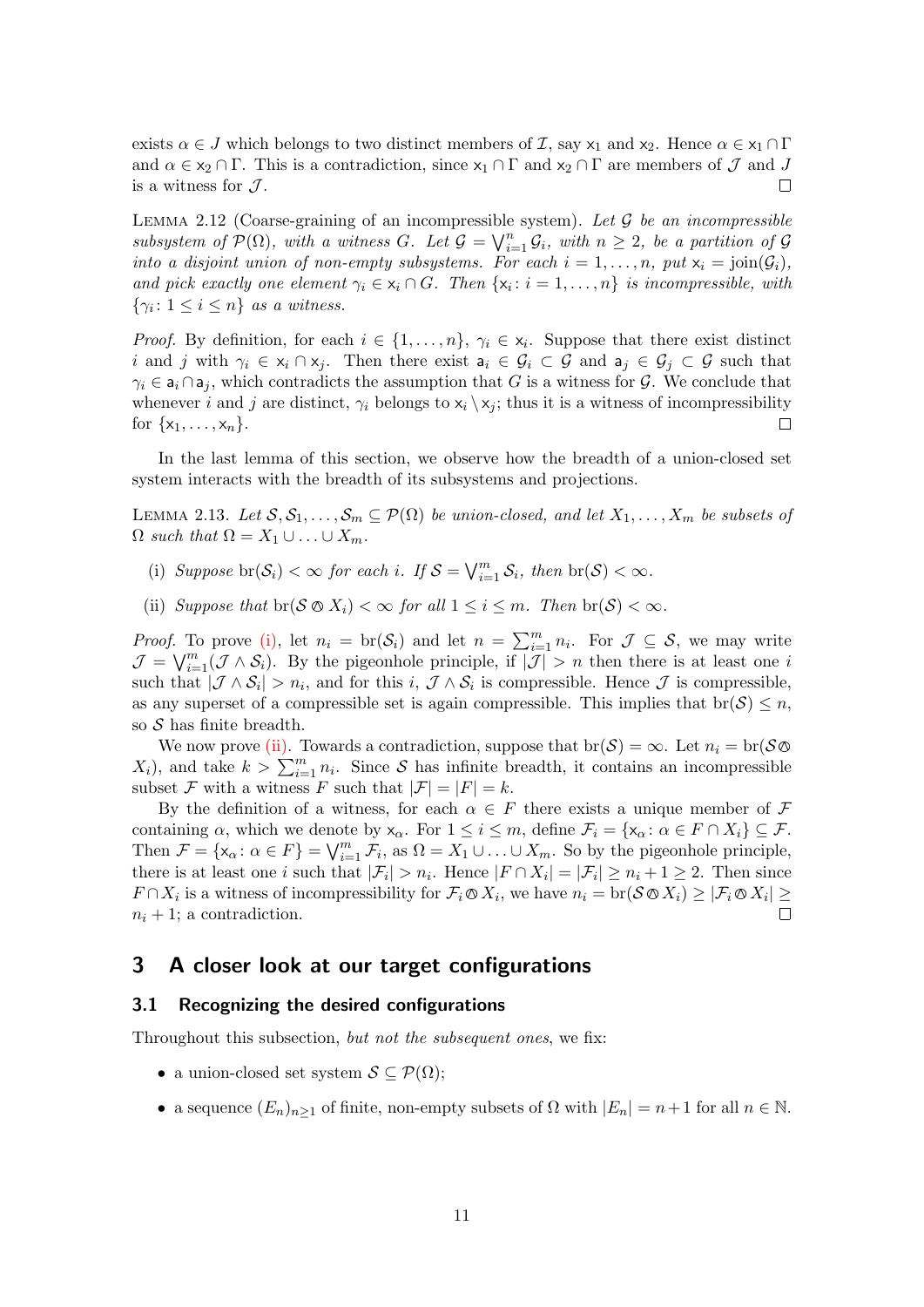exists  $\alpha \in J$  which belongs to two distinct members of  $\mathcal{I}$ , say  $x_1$  and  $x_2$ . Hence  $\alpha \in x_1 \cap \Gamma$ and  $\alpha \in x_2 \cap \Gamma$ . This is a contradiction, since  $x_1 \cap \Gamma$  and  $x_2 \cap \Gamma$  are members of  $\mathcal J$  and  $J$ is a witness for  $\mathcal{J}.$  $\Box$ 

<span id="page-10-4"></span>LEMMA 2.12 (Coarse-graining of an incompressible system). Let  $\mathcal G$  be an incompressible subsystem of  $\mathcal{P}(\Omega)$ , with a witness G. Let  $\mathcal{G} = \bigvee_{i=1}^{n} \mathcal{G}_i$ , with  $n \geq 2$ , be a partition of  $\mathcal{G}$ into a disjoint union of non-empty subsystems. For each  $i = 1, \ldots, n$ , put  $x_i = \text{join}(\mathcal{G}_i)$ , and pick exactly one element  $\gamma_i \in x_i \cap G$ . Then  $\{x_i : i = 1, \ldots, n\}$  is incompressible, with  $\{\gamma_i: 1 \leq i \leq n\}$  as a witness.

*Proof.* By definition, for each  $i \in \{1, \ldots, n\}$ ,  $\gamma_i \in x_i$ . Suppose that there exist distinct i and j with  $\gamma_i \in x_i \cap x_j$ . Then there exist  $a_i \in \mathcal{G}_i \subset \mathcal{G}$  and  $a_j \in \mathcal{G}_j \subset \mathcal{G}$  such that  $\gamma_i \in \mathsf{a}_i \cap \mathsf{a}_j$ , which contradicts the assumption that G is a witness for G. We conclude that whenever i and j are distinct,  $\gamma_i$  belongs to  $x_i \setminus x_j$ ; thus it is a witness of incompressibility for  $\{x_1, \ldots, x_n\}$ .  $\Box$ 

In the last lemma of this section, we observe how the breadth of a union-closed set system interacts with the breadth of its subsystems and projections.

<span id="page-10-5"></span>LEMMA 2.13. Let  $S, S_1, \ldots, S_m \subseteq \mathcal{P}(\Omega)$  be union-closed, and let  $X_1, \ldots, X_m$  be subsets of  $\Omega$  such that  $\Omega = X_1 \cup \ldots \cup X_m$ .

- <span id="page-10-2"></span>(i) Suppose br $(\mathcal{S}_i) < \infty$  for each i. If  $\mathcal{S} = \bigvee_{i=1}^m \mathcal{S}_i$ , then br $(\mathcal{S}) < \infty$ .
- <span id="page-10-3"></span>(ii) Suppose that  $\text{br}(S \otimes X_i) < \infty$  for all  $1 \leq i \leq m$ . Then  $\text{br}(S) < \infty$ .

*Proof.* To prove [\(i\),](#page-10-2) let  $n_i = \text{br}(\mathcal{S}_i)$  and let  $n = \sum_{i=1}^m n_i$ . For  $\mathcal{J} \subseteq \mathcal{S}$ , we may write  $\mathcal{J} = \bigvee_{i=1}^{m} (\mathcal{J} \wedge \mathcal{S}_i)$ . By the pigeonhole principle, if  $|\mathcal{J}| > n$  then there is at least one i such that  $|\mathcal{J} \wedge \mathcal{S}_i| > n_i$ , and for this  $i, \mathcal{J} \wedge \mathcal{S}_i$  is compressible. Hence  $\mathcal{J}$  is compressible, as any superset of a compressible set is again compressible. This implies that  $\text{br}(\mathcal{S}) \leq n$ , so  $S$  has finite breadth.

We now prove [\(ii\).](#page-10-3) Towards a contradiction, suppose that  $\text{br}(\mathcal{S}) = \infty$ . Let  $n_i = \text{br}(\mathcal{S} \otimes$  $X_i$ , and take  $k > \sum_{i=1}^m n_i$ . Since S has infinite breadth, it contains an incompressible subset F with a witness F such that  $|\mathcal{F}| = |F| = k$ .

By the definition of a witness, for each  $\alpha \in F$  there exists a unique member of F containing  $\alpha$ , which we denote by  $x_{\alpha}$ . For  $1 \leq i \leq m$ , define  $\mathcal{F}_i = \{x_{\alpha} : \alpha \in F \cap X_i\} \subseteq \mathcal{F}$ . Then  $\mathcal{F} = {\mathbf{x}_{\alpha} : \alpha \in F} = \bigvee_{i=1}^{m} \mathcal{F}_i$ , as  $\Omega = X_1 \cup \ldots \cup X_m$ . So by the pigeonhole principle, there is at least one *i* such that  $|\mathcal{F}_i| > n_i$ . Hence  $|F \cap X_i| = |\mathcal{F}_i| \ge n_i + 1 \ge 2$ . Then since  $F \cap X_i$  is a witness of incompressibility for  $\mathcal{F}_i \otimes X_i$ , we have  $n_i = \text{br}(\mathcal{S} \otimes X_i) \geq |\mathcal{F}_i \otimes X_i| \geq$  $n_i + 1$ ; a contradiction.  $\Box$ 

## <span id="page-10-0"></span>3 A closer look at our target configurations

#### <span id="page-10-1"></span>3.1 Recognizing the desired configurations

Throughout this subsection, but not the subsequent ones, we fix:

- a union-closed set system  $\mathcal{S} \subset \mathcal{P}(\Omega)$ ;
- a sequence  $(E_n)_{n>1}$  of finite, non-empty subsets of  $\Omega$  with  $|E_n| = n+1$  for all  $n \in \mathbb{N}$ .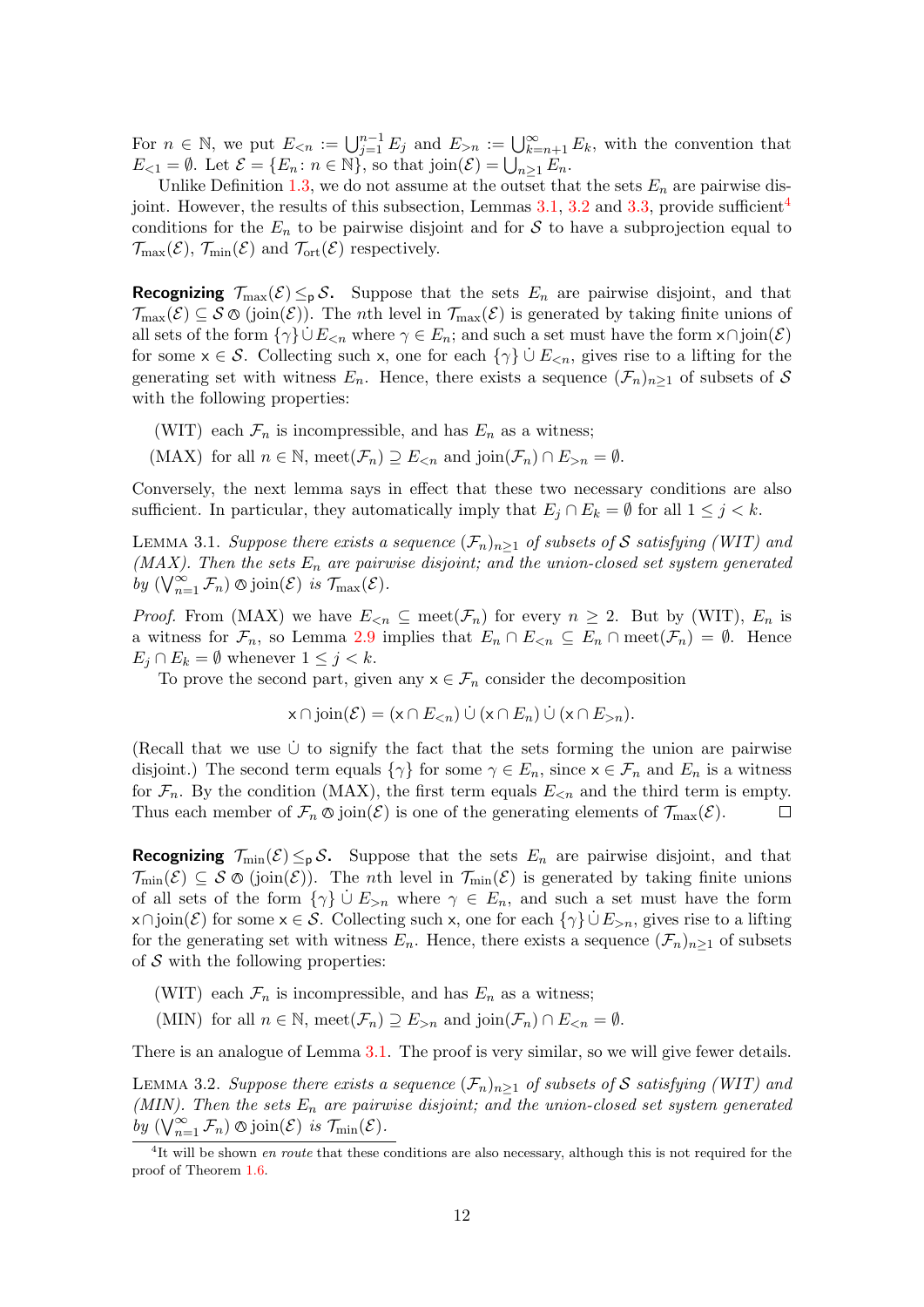For  $n \in \mathbb{N}$ , we put  $E_{\leq n} := \bigcup_{j=1}^{n-1} E_j$  and  $E_{\geq n} := \bigcup_{k=n+1}^{\infty} E_k$ , with the convention that  $E_{\leq 1} = \emptyset$ . Let  $\mathcal{E} = \{E_n : n \in \mathbb{N}\}\$ , so that join $(\mathcal{E}) = \bigcup_{n \geq 1} E_n$ .

Unlike Definition [1.3,](#page-1-3) we do not assume at the outset that the sets  $E_n$  are pairwise dis-joint. However, the results of this subsection, Lemmas [3.1,](#page-11-0) [3.2](#page-11-1) and [3.3,](#page-12-1) provide sufficient<sup>[4](#page-11-2)</sup> conditions for the  $E_n$  to be pairwise disjoint and for S to have a subprojection equal to  $\mathcal{T}_{\max}(\mathcal{E}), \mathcal{T}_{\min}(\mathcal{E})$  and  $\mathcal{T}_{\text{ort}}(\mathcal{E})$  respectively.

**Recognizing**  $\mathcal{T}_{\text{max}}(\mathcal{E}) \leq_{p} \mathcal{S}$ . Suppose that the sets  $E_n$  are pairwise disjoint, and that  $\mathcal{T}_{\max}(\mathcal{E}) \subseteq \mathcal{S} \otimes (\text{join}(\mathcal{E}))$ . The *n*th level in  $\mathcal{T}_{\max}(\mathcal{E})$  is generated by taking finite unions of all sets of the form  $\{\gamma\}\cup E_{\leq n}$  where  $\gamma \in E_n$ ; and such a set must have the form  $x \cap \text{join}(\mathcal{E})$ for some  $x \in \mathcal{S}$ . Collecting such x, one for each  $\{\gamma\} \cup E_{\leq n}$ , gives rise to a lifting for the generating set with witness  $E_n$ . Hence, there exists a sequence  $(\mathcal{F}_n)_{n\geq 1}$  of subsets of S with the following properties:

- (WIT) each  $\mathcal{F}_n$  is incompressible, and has  $E_n$  as a witness;
- (MAX) for all  $n \in \mathbb{N}$ , meet $(\mathcal{F}_n) \supseteq E_{\leq n}$  and join $(\mathcal{F}_n) \cap E_{\geq n} = \emptyset$ .

Conversely, the next lemma says in effect that these two necessary conditions are also sufficient. In particular, they automatically imply that  $E_j \cap E_k = \emptyset$  for all  $1 \leq j < k$ .

<span id="page-11-0"></span>LEMMA 3.1. Suppose there exists a sequence  $(\mathcal{F}_n)_{n>1}$  of subsets of S satisfying (WIT) and (MAX). Then the sets  $E_n$  are pairwise disjoint; and the union-closed set system generated by  $(\bigvee_{n=1}^{\infty} \mathcal{F}_n) \otimes \text{join}(\mathcal{E})$  is  $\mathcal{T}_{\text{max}}(\mathcal{E})$ .

*Proof.* From (MAX) we have  $E_{\leq n} \subseteq \text{meet}(\mathcal{F}_n)$  for every  $n \geq 2$ . But by (WIT),  $E_n$  is a witness for  $\mathcal{F}_n$ , so Lemma [2.9](#page-9-2) implies that  $E_n \cap E_{\le n} \subseteq E_n \cap \text{meet}(\mathcal{F}_n) = \emptyset$ . Hence  $E_j \cap E_k = \emptyset$  whenever  $1 \leq j < k$ .

To prove the second part, given any  $x \in \mathcal{F}_n$  consider the decomposition

$$
x \cap \text{join}(\mathcal{E}) = (x \cap E_{< n}) \cup (x \cap E_n) \cup (x \cap E_{> n}).
$$

(Recall that we use  $\dot{\cup}$  to signify the fact that the sets forming the union are pairwise disjoint.) The second term equals  $\{\gamma\}$  for some  $\gamma \in E_n$ , since  $x \in \mathcal{F}_n$  and  $E_n$  is a witness for  $\mathcal{F}_n$ . By the condition (MAX), the first term equals  $E_{\leq n}$  and the third term is empty. Thus each member of  $\mathcal{F}_n \otimes \text{join}(\mathcal{E})$  is one of the generating elements of  $\mathcal{T}_{\text{max}}(\mathcal{E})$ .  $\Box$ 

**Recognizing**  $\mathcal{T}_{\min}(\mathcal{E}) \leq_{p} \mathcal{S}$ . Suppose that the sets  $E_n$  are pairwise disjoint, and that  $\mathcal{T}_{\min}(\mathcal{E}) \subseteq \mathcal{S} \otimes (\text{join}(\mathcal{E}))$ . The *n*th level in  $\mathcal{T}_{\min}(\mathcal{E})$  is generated by taking finite unions of all sets of the form  $\{\gamma\} \cup E_{\geq n}$  where  $\gamma \in E_n$ , and such a set must have the form  $x \cap \text{join}(\mathcal{E})$  for some  $x \in \mathcal{S}$ . Collecting such x, one for each  $\{\gamma\} \cup E_{>n}$ , gives rise to a lifting for the generating set with witness  $E_n$ . Hence, there exists a sequence  $(\mathcal{F}_n)_{n>1}$  of subsets of  $S$  with the following properties:

- (WIT) each  $\mathcal{F}_n$  is incompressible, and has  $E_n$  as a witness;
- (MIN) for all  $n \in \mathbb{N}$ , meet $(\mathcal{F}_n) \supseteq E_{\geq n}$  and join $(\mathcal{F}_n) \cap E_{\leq n} = \emptyset$ .

There is an analogue of Lemma [3.1.](#page-11-0) The proof is very similar, so we will give fewer details.

<span id="page-11-1"></span>LEMMA 3.2. Suppose there exists a sequence  $(\mathcal{F}_n)_{n>1}$  of subsets of S satisfying (WIT) and (MIN). Then the sets  $E_n$  are pairwise disjoint; and the union-closed set system generated by  $(\bigvee_{n=1}^{\infty} \mathcal{F}_n) \otimes \text{join}(\mathcal{E})$  is  $\mathcal{T}_{\text{min}}(\mathcal{E})$ .

<span id="page-11-2"></span><sup>&</sup>lt;sup>4</sup>It will be shown en route that these conditions are also necessary, although this is not required for the proof of Theorem [1.6.](#page-2-2)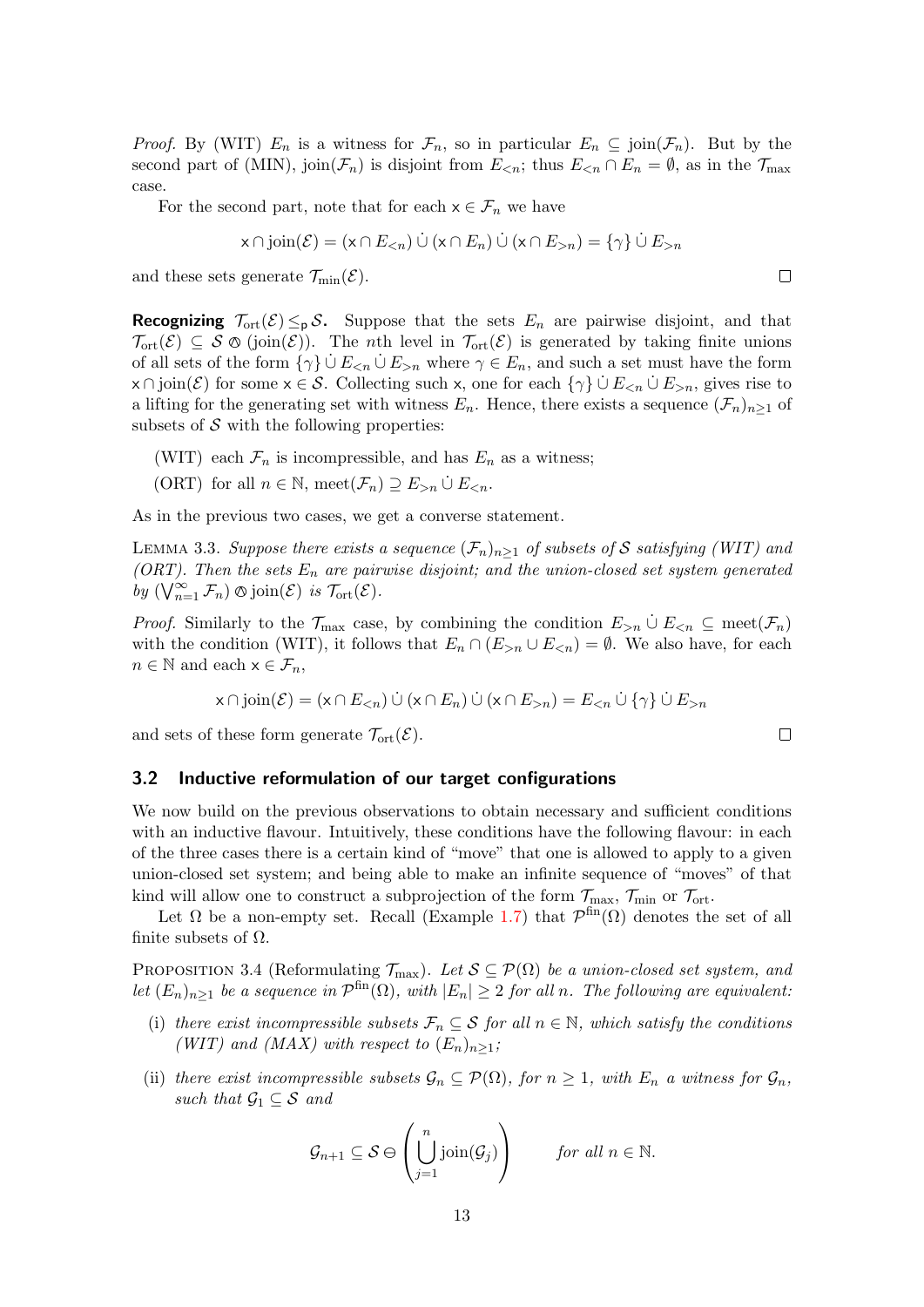*Proof.* By (WIT)  $E_n$  is a witness for  $\mathcal{F}_n$ , so in particular  $E_n \subseteq \text{join}(\mathcal{F}_n)$ . But by the second part of (MIN), join $(\mathcal{F}_n)$  is disjoint from  $E_{\leq n}$ ; thus  $E_{\leq n} \cap E_n = \emptyset$ , as in the  $\mathcal{T}_{\text{max}}$ case.

For the second part, note that for each  $x \in \mathcal{F}_n$  we have

$$
x \cap \text{join}(\mathcal{E}) = (x \cap E_{< n}) \cup (x \cap E_n) \cup (x \cap E_{> n}) = \{ \gamma \} \cup E_{> n}
$$

and these sets generate  $\mathcal{T}_{\min}(\mathcal{E})$ .

**Recognizing**  $\mathcal{T}_{\text{ort}}(\mathcal{E}) \leq_{p} \mathcal{S}$ . Suppose that the sets  $E_n$  are pairwise disjoint, and that  $\mathcal{T}_{\text{ort}}(\mathcal{E}) \subseteq \mathcal{S} \otimes (\text{join}(\mathcal{E}))$ . The *n*th level in  $\mathcal{T}_{\text{ort}}(\mathcal{E})$  is generated by taking finite unions of all sets of the form  $\{\gamma\} \cup E_{\leq n} \cup E_{\geq n}$  where  $\gamma \in E_n$ , and such a set must have the form  $x \cap \text{join}(\mathcal{E})$  for some  $x \in \mathcal{S}$ . Collecting such x, one for each  $\{\gamma\} \cup E_{\leq n} \cup E_{\geq n}$ , gives rise to a lifting for the generating set with witness  $E_n$ . Hence, there exists a sequence  $(\mathcal{F}_n)_{n>1}$  of subsets of  $\mathcal S$  with the following properties:

- (WIT) each  $\mathcal{F}_n$  is incompressible, and has  $E_n$  as a witness;
- (ORT) for all  $n \in \mathbb{N}$ , meet $(\mathcal{F}_n) \supseteq E_{\geq n} \cup E_{\leq n}$ .

As in the previous two cases, we get a converse statement.

<span id="page-12-1"></span>LEMMA 3.3. Suppose there exists a sequence  $(\mathcal{F}_n)_{n>1}$  of subsets of S satisfying (WIT) and (ORT). Then the sets  $E_n$  are pairwise disjoint; and the union-closed set system generated by  $(\bigvee_{n=1}^{\infty} \mathcal{F}_n) \otimes \text{join}(\mathcal{E})$  is  $\mathcal{T}_{\text{ort}}(\mathcal{E})$ .

*Proof.* Similarly to the  $\mathcal{T}_{\text{max}}$  case, by combining the condition  $E_{>n} \cup E_{\leq n} \subseteq \text{meet}(\mathcal{F}_n)$ with the condition (WIT), it follows that  $E_n \cap (E_{>n} \cup E_{. We also have, for each$  $n \in \mathbb{N}$  and each  $x \in \mathcal{F}_n$ ,

$$
x \cap \text{join}(\mathcal{E}) = (x \cap E_{< n}) \cup (x \cap E_n) \cup (x \cap E_{> n}) = E_{< n} \cup \{\gamma\} \cup E_{> n}
$$

and sets of these form generate  $\mathcal{T}_{ort}(\mathcal{E})$ .

#### <span id="page-12-0"></span>3.2 Inductive reformulation of our target configurations

We now build on the previous observations to obtain necessary and sufficient conditions with an inductive flavour. Intuitively, these conditions have the following flavour: in each of the three cases there is a certain kind of "move" that one is allowed to apply to a given union-closed set system; and being able to make an infinite sequence of "moves" of that kind will allow one to construct a subprojection of the form  $\mathcal{T}_{\text{max}}$ ,  $\mathcal{T}_{\text{min}}$  or  $\mathcal{T}_{\text{ort}}$ .

Let  $\Omega$  be a non-empty set. Recall (Example [1.7\)](#page-3-2) that  $\mathcal{P}^{\text{fin}}(\Omega)$  denotes the set of all finite subsets of  $\Omega$ .

<span id="page-12-4"></span>PROPOSITION 3.4 (Reformulating  $\mathcal{T}_{\text{max}}$ ). Let  $\mathcal{S} \subseteq \mathcal{P}(\Omega)$  be a union-closed set system, and let  $(E_n)_{n\geq 1}$  be a sequence in  $\mathcal{P}^{\text{fin}}(\Omega)$ , with  $|E_n|\geq 2$  for all n. The following are equivalent:

- <span id="page-12-2"></span>(i) there exist incompressible subsets  $\mathcal{F}_n \subseteq \mathcal{S}$  for all  $n \in \mathbb{N}$ , which satisfy the conditions (WIT) and (MAX) with respect to  $(E_n)_{n\geq 1}$ ;
- <span id="page-12-3"></span>(ii) there exist incompressible subsets  $\mathcal{G}_n \subseteq \mathcal{P}(\Omega)$ , for  $n \geq 1$ , with  $E_n$  a witness for  $\mathcal{G}_n$ , such that  $\mathcal{G}_1 \subseteq \mathcal{S}$  and

$$
\mathcal{G}_{n+1} \subseteq \mathcal{S} \ominus \left( \bigcup_{j=1}^{n} \text{join}(\mathcal{G}_{j}) \right) \qquad \text{for all } n \in \mathbb{N}.
$$

 $\Box$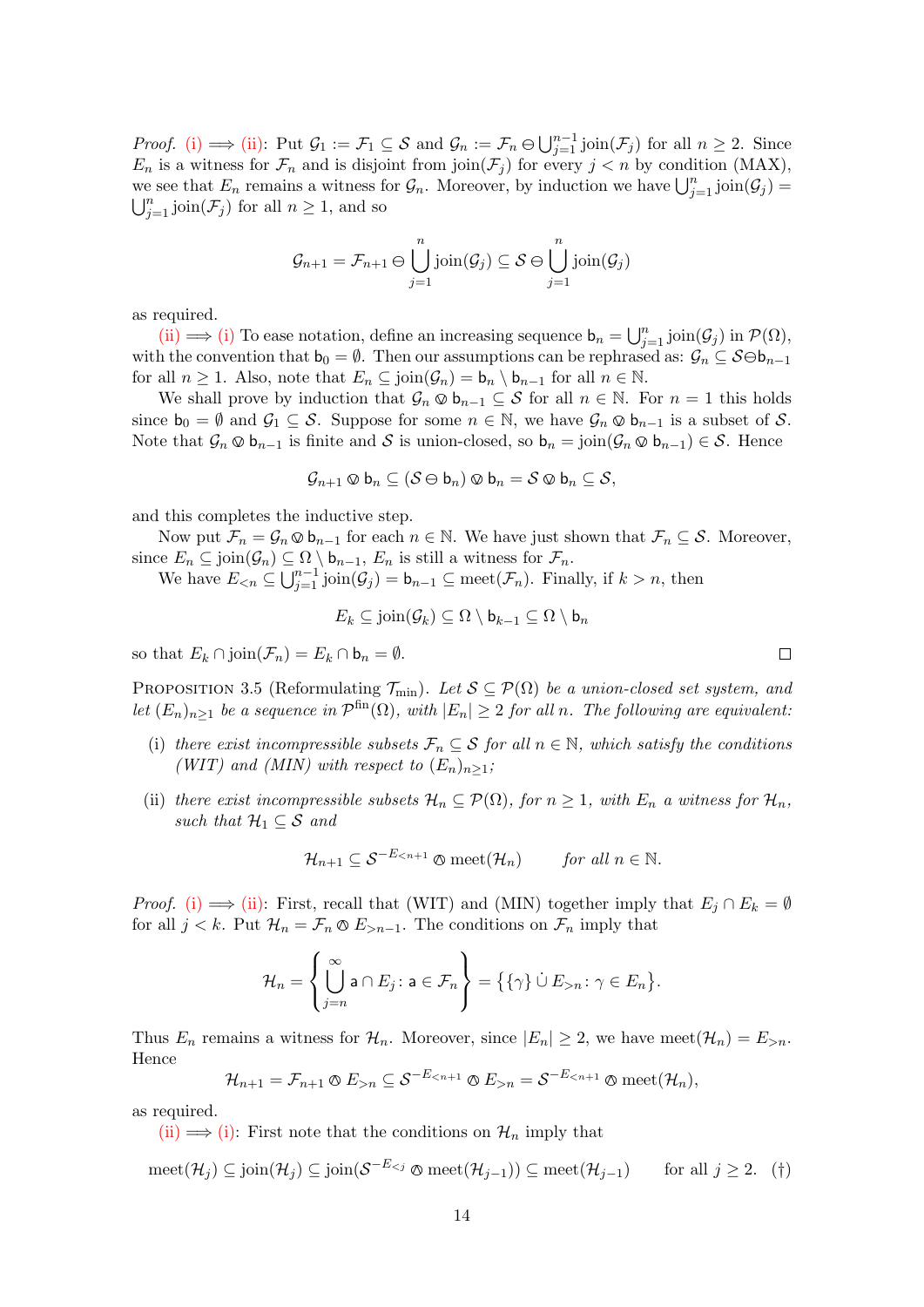*Proof.* [\(i\)](#page-12-2)  $\implies$  [\(ii\):](#page-12-3) Put  $\mathcal{G}_1 := \mathcal{F}_1 \subseteq \mathcal{S}$  and  $\mathcal{G}_n := \mathcal{F}_n \ominus \bigcup_{j=1}^{n-1} \text{join}(\mathcal{F}_j)$  for all  $n \geq 2$ . Since  $E_n$  is a witness for  $\mathcal{F}_n$  and is disjoint from join $(\mathcal{F}_j)$  for every  $j < n$  by condition (MAX), we see that  $E_n$  remains a witness for  $\mathcal{G}_n$ . Moreover, by induction we have  $\bigcup_{j=1}^n \text{join}(\mathcal{G}_j) =$  $\bigcup_{j=1}^n \text{join}(\mathcal{F}_j)$  for all  $n \geq 1$ , and so

$$
\mathcal{G}_{n+1} = \mathcal{F}_{n+1} \ominus \bigcup_{j=1}^{n} \text{join}(\mathcal{G}_{j}) \subseteq \mathcal{S} \ominus \bigcup_{j=1}^{n} \text{join}(\mathcal{G}_{j})
$$

as required.

[\(ii\)](#page-12-3)  $\implies$  [\(i\)](#page-12-2) To ease notation, define an increasing sequence  $\mathbf{b}_n = \bigcup_{j=1}^n \text{join}(\mathcal{G}_j)$  in  $\mathcal{P}(\Omega)$ , with the convention that  $b_0 = \emptyset$ . Then our assumptions can be rephrased as:  $\mathcal{G}_n \subseteq \mathcal{S} \ominus b_{n-1}$ for all  $n \geq 1$ . Also, note that  $E_n \subseteq \text{join}(\mathcal{G}_n) = \mathsf{b}_n \setminus \mathsf{b}_{n-1}$  for all  $n \in \mathbb{N}$ .

We shall prove by induction that  $\mathcal{G}_n \otimes \mathbf{b}_{n-1} \subseteq \mathcal{S}$  for all  $n \in \mathbb{N}$ . For  $n = 1$  this holds since  $b_0 = \emptyset$  and  $\mathcal{G}_1 \subseteq \mathcal{S}$ . Suppose for some  $n \in \mathbb{N}$ , we have  $\mathcal{G}_n \otimes b_{n-1}$  is a subset of  $\mathcal{S}$ . Note that  $\mathcal{G}_n \otimes \mathsf{b}_{n-1}$  is finite and S is union-closed, so  $\mathsf{b}_n = \text{join}(\mathcal{G}_n \otimes \mathsf{b}_{n-1}) \in \mathcal{S}$ . Hence

$$
\mathcal{G}_{n+1}\otimes \mathsf{b}_n \subseteq (\mathcal{S}\ominus \mathsf{b}_n)\otimes \mathsf{b}_n = \mathcal{S}\otimes \mathsf{b}_n \subseteq \mathcal{S},
$$

and this completes the inductive step.

Now put  $\mathcal{F}_n = \mathcal{G}_n \otimes \mathsf{b}_{n-1}$  for each  $n \in \mathbb{N}$ . We have just shown that  $\mathcal{F}_n \subseteq \mathcal{S}$ . Moreover, since  $E_n \subseteq \text{join}(\mathcal{G}_n) \subseteq \Omega \setminus \mathsf{b}_{n-1}, E_n$  is still a witness for  $\mathcal{F}_n$ .

We have  $E_{\leq n} \subseteq \bigcup_{j=1}^{n-1} \text{join}(\mathcal{G}_j) = \mathsf{b}_{n-1} \subseteq \text{meet}(\mathcal{F}_n)$ . Finally, if  $k > n$ , then

$$
E_k \subseteq \text{join}(\mathcal{G}_k) \subseteq \Omega \setminus \mathsf{b}_{k-1} \subseteq \Omega \setminus \mathsf{b}_n
$$

so that  $E_k \cap \text{join}(\mathcal{F}_n) = E_k \cap \mathbf{b}_n = \emptyset$ .

<span id="page-13-2"></span>PROPOSITION 3.5 (Reformulating  $\mathcal{T}_{min}$ ). Let  $\mathcal{S} \subseteq \mathcal{P}(\Omega)$  be a union-closed set system, and let  $(E_n)_{n\geq 1}$  be a sequence in  $\mathcal{P}^{\text{fin}}(\Omega)$ , with  $|E_n|\geq 2$  for all n. The following are equivalent:

- <span id="page-13-0"></span>(i) there exist incompressible subsets  $\mathcal{F}_n \subseteq \mathcal{S}$  for all  $n \in \mathbb{N}$ , which satisfy the conditions (WIT) and (MIN) with respect to  $(E_n)_{n\geq 1}$ ;
- <span id="page-13-1"></span>(ii) there exist incompressible subsets  $\mathcal{H}_n \subseteq \mathcal{P}(\Omega)$ , for  $n \geq 1$ , with  $E_n$  a witness for  $\mathcal{H}_n$ , such that  $\mathcal{H}_1 \subseteq \mathcal{S}$  and

$$
\mathcal{H}_{n+1} \subseteq \mathcal{S}^{-E_{n+1}} \otimes \text{meet}(\mathcal{H}_n) \qquad \text{for all } n \in \mathbb{N}.
$$

*Proof.* [\(i\)](#page-13-0)  $\implies$  [\(ii\):](#page-13-1) First, recall that (WIT) and (MIN) together imply that  $E_j \cap E_k = \emptyset$ for all  $j < k$ . Put  $\mathcal{H}_n = \mathcal{F}_n \otimes E_{> n-1}$ . The conditions on  $\mathcal{F}_n$  imply that

<span id="page-13-3"></span>
$$
\mathcal{H}_n = \left\{ \bigcup_{j=n}^{\infty} \mathsf{a} \cap E_j : \mathsf{a} \in \mathcal{F}_n \right\} = \left\{ \{ \gamma \} \cup E_{>n} : \gamma \in E_n \right\}.
$$

Thus  $E_n$  remains a witness for  $\mathcal{H}_n$ . Moreover, since  $|E_n| \geq 2$ , we have meet $(\mathcal{H}_n) = E_{>n}$ . Hence

$$
\mathcal{H}_{n+1} = \mathcal{F}_{n+1} \otimes E_{>n} \subseteq \mathcal{S}^{-E_{n} = \mathcal{S}^{-E_{
$$

as required.

[\(ii\)](#page-13-1)  $\implies$  [\(i\):](#page-13-0) First note that the conditions on  $\mathcal{H}_n$  imply that

$$
\text{meet}(\mathcal{H}_j) \subseteq \text{join}(\mathcal{H}_j) \subseteq \text{join}(\mathcal{S}^{-E_{< j}} \otimes \text{meet}(\mathcal{H}_{j-1})) \subseteq \text{meet}(\mathcal{H}_{j-1}) \qquad \text{for all } j \ge 2. \quad (\dagger)
$$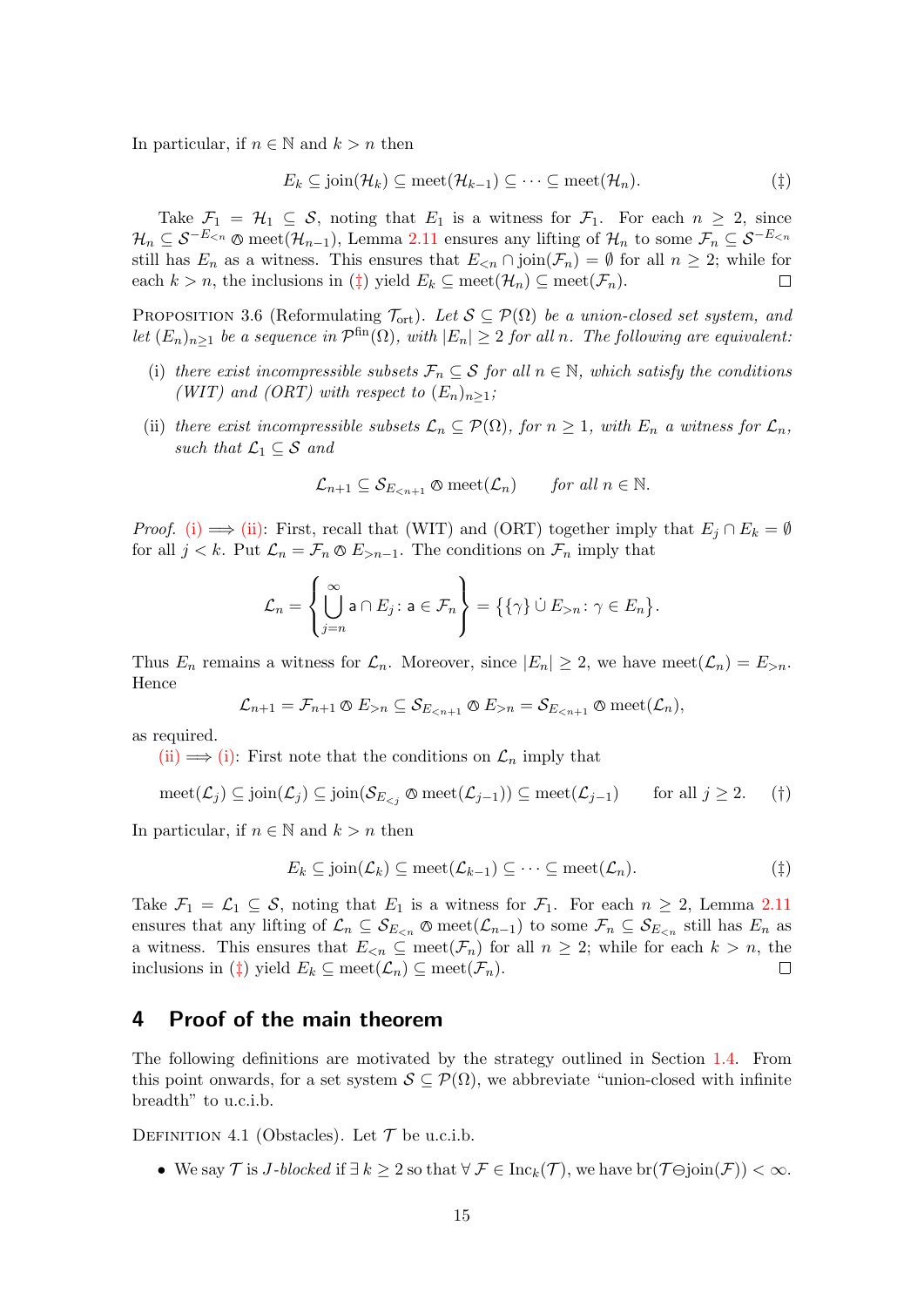In particular, if  $n \in \mathbb{N}$  and  $k > n$  then

<span id="page-14-1"></span>
$$
E_k \subseteq \text{join}(\mathcal{H}_k) \subseteq \text{meet}(\mathcal{H}_{k-1}) \subseteq \cdots \subseteq \text{meet}(\mathcal{H}_n). \tag{\ddagger}
$$

Take  $\mathcal{F}_1 = \mathcal{H}_1 \subseteq \mathcal{S}$ , noting that  $E_1$  is a witness for  $\mathcal{F}_1$ . For each  $n \geq 2$ , since  $\mathcal{H}_n \subseteq \mathcal{S}^{-E_{\le n}}$  © meet $(\mathcal{H}_{n-1})$ , Lemma [2.11](#page-9-5) ensures any lifting of  $\mathcal{H}_n$  to some  $\mathcal{F}_n \subseteq \mathcal{S}^{-E_{\le n}}$ still has  $E_n$  as a witness. This ensures that  $E_{\leq n} \cap \text{join}(\mathcal{F}_n) = \emptyset$  for all  $n \geq 2$ ; while for each  $k > n$ , the inclusions in  $(\ddagger)$  yield  $E_k \subseteq \text{meet}(\mathcal{H}_n) \subseteq \text{meet}(\mathcal{F}_n)$ .  $\Box$ 

<span id="page-14-5"></span>PROPOSITION 3.6 (Reformulating  $\mathcal{T}_{\text{ort}}$ ). Let  $\mathcal{S} \subseteq \mathcal{P}(\Omega)$  be a union-closed set system, and let  $(E_n)_{n\geq 1}$  be a sequence in  $\mathcal{P}^{\text{fin}}(\Omega)$ , with  $|E_n|\geq 2$  for all n. The following are equivalent:

- <span id="page-14-2"></span>(i) there exist incompressible subsets  $\mathcal{F}_n \subseteq \mathcal{S}$  for all  $n \in \mathbb{N}$ , which satisfy the conditions (WIT) and (ORT) with respect to  $(E_n)_{n\geq 1}$ ;
- <span id="page-14-3"></span>(ii) there exist incompressible subsets  $\mathcal{L}_n \subseteq \mathcal{P}(\Omega)$ , for  $n \geq 1$ , with  $E_n$  a witness for  $\mathcal{L}_n$ , such that  $\mathcal{L}_1 \subseteq \mathcal{S}$  and

$$
\mathcal{L}_{n+1} \subseteq \mathcal{S}_{E_{n+1}} \otimes \mathrm{meet}(\mathcal{L}_n) \qquad \text{for all } n \in \mathbb{N}.
$$

*Proof.* [\(i\)](#page-14-2)  $\implies$  [\(ii\):](#page-14-3) First, recall that (WIT) and (ORT) together imply that  $E_i \cap E_k = \emptyset$ for all  $j < k$ . Put  $\mathcal{L}_n = \mathcal{F}_n \otimes E_{> n-1}$ . The conditions on  $\mathcal{F}_n$  imply that

$$
\mathcal{L}_n = \left\{ \bigcup_{j=n}^{\infty} \mathsf{a} \cap E_j : \mathsf{a} \in \mathcal{F}_n \right\} = \left\{ \{ \gamma \} \cup E_{>n} : \gamma \in E_n \right\}.
$$

Thus  $E_n$  remains a witness for  $\mathcal{L}_n$ . Moreover, since  $|E_n| \geq 2$ , we have meet $(\mathcal{L}_n) = E_{>n}$ . Hence

$$
\mathcal{L}_{n+1} = \mathcal{F}_{n+1} \otimes E_{>n} \subseteq \mathcal{S}_{E_{n} = \mathcal{S}_{E_{
$$

as required.

[\(ii\)](#page-14-3)  $\implies$  [\(i\):](#page-14-2) First note that the conditions on  $\mathcal{L}_n$  imply that

$$
\text{meet}(\mathcal{L}_j) \subseteq \text{join}(\mathcal{L}_j) \subseteq \text{join}(\mathcal{S}_{E_{< j}} \otimes \text{meet}(\mathcal{L}_{j-1})) \subseteq \text{meet}(\mathcal{L}_{j-1}) \qquad \text{for all } j \ge 2. \tag{\dagger}
$$

In particular, if  $n \in \mathbb{N}$  and  $k > n$  then

<span id="page-14-6"></span><span id="page-14-4"></span>
$$
E_k \subseteq \text{join}(\mathcal{L}_k) \subseteq \text{meet}(\mathcal{L}_{k-1}) \subseteq \cdots \subseteq \text{meet}(\mathcal{L}_n).
$$
 (†)

Take  $\mathcal{F}_1 = \mathcal{L}_1 \subseteq \mathcal{S}$ , noting that  $E_1$  is a witness for  $\mathcal{F}_1$ . For each  $n \geq 2$ , Lemma [2.11](#page-9-5) ensures that any lifting of  $\mathcal{L}_n \subseteq \mathcal{S}_{E \leq n}$   $\otimes$  meet $(\mathcal{L}_{n-1})$  to some  $\mathcal{F}_n \subseteq \mathcal{S}_{E \leq n}$  still has  $E_n$  as a witness. This ensures that  $E_{\leq n} \subseteq \text{meet}(\mathcal{F}_n)$  for all  $n \geq 2$ ; while for each  $k > n$ , the inclusions in ( $\ddagger$ ) yield  $E_k \subseteq \text{meet}(\mathcal{L}_n) \subseteq \text{meet}(\mathcal{F}_n)$ .  $\Box$ 

## <span id="page-14-0"></span>4 Proof of the main theorem

The following definitions are motivated by the strategy outlined in Section [1.4.](#page-5-0) From this point onwards, for a set system  $S \subseteq \mathcal{P}(\Omega)$ , we abbreviate "union-closed with infinite breadth" to u.c.i.b.

<span id="page-14-7"></span>DEFINITION 4.1 (Obstacles). Let  $\mathcal T$  be u.c.i.b.

• We say  $\mathcal T$  is J-blocked if  $\exists k \geq 2$  so that  $\forall \mathcal F \in \text{Inc}_k(\mathcal T)$ , we have  $\text{br}(\mathcal T \ominus \text{join}(\mathcal F)) < \infty$ .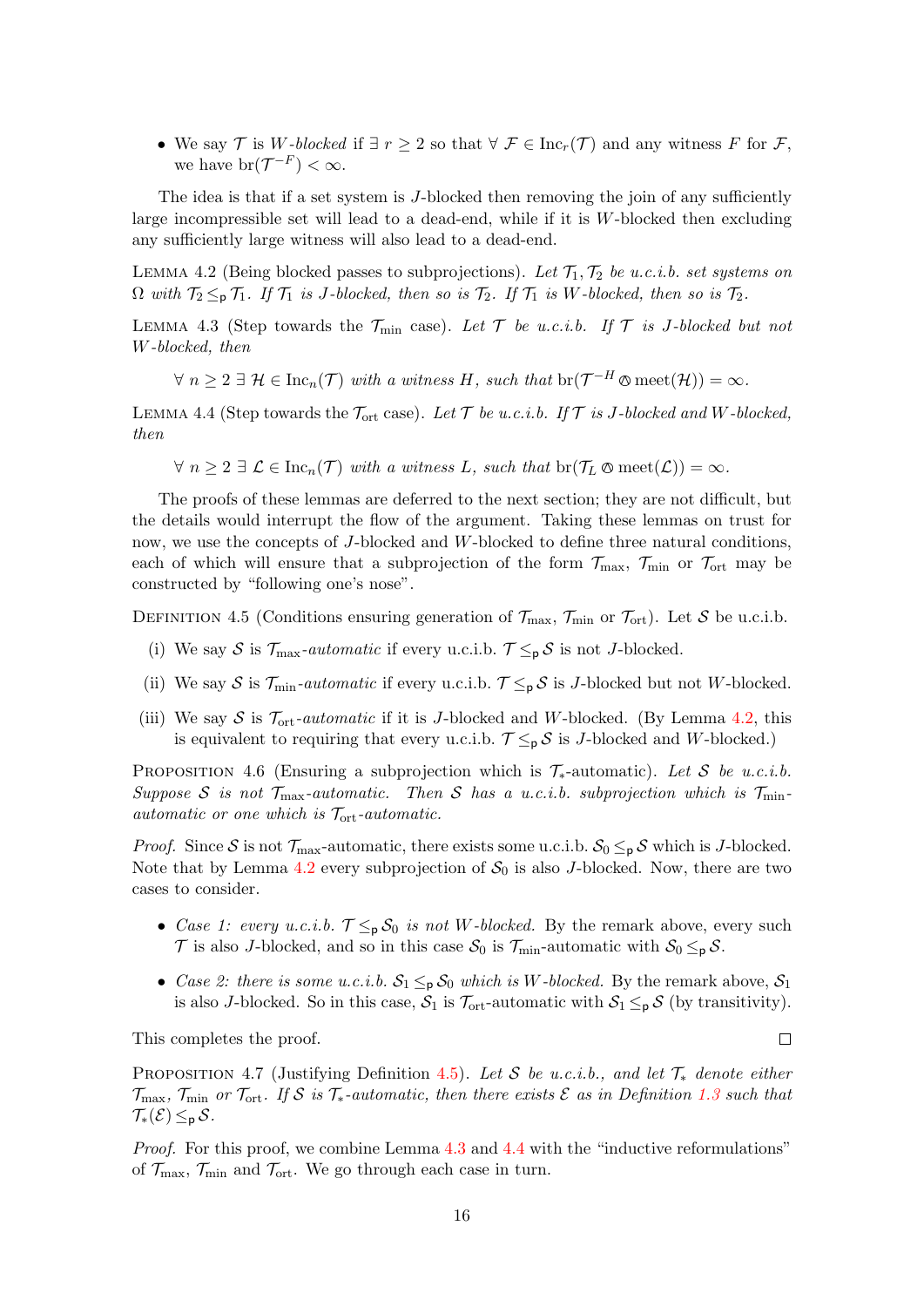• We say T is W-blocked if  $\exists r \geq 2$  so that  $\forall \mathcal{F} \in \text{Inc}_r(\mathcal{T})$  and any witness F for F, we have  $br(\mathcal{T}^{-F}) < \infty$ .

The idea is that if a set system is J-blocked then removing the join of any sufficiently large incompressible set will lead to a dead-end, while if it is  $W$ -blocked then excluding any sufficiently large witness will also lead to a dead-end.

<span id="page-15-3"></span>LEMMA 4.2 (Being blocked passes to subprojections). Let  $\mathcal{T}_1, \mathcal{T}_2$  be u.c.i.b. set systems on  $\Omega$  with  $\mathcal{T}_2 \leq_{\mathsf{p}} \mathcal{T}_1$ . If  $\mathcal{T}_1$  is J-blocked, then so is  $\mathcal{T}_2$ . If  $\mathcal{T}_1$  is W-blocked, then so is  $\mathcal{T}_2$ .

<span id="page-15-4"></span>LEMMA 4.3 (Step towards the  $\mathcal{T}_{\text{min}}$  case). Let  $\mathcal{T}$  be u.c.i.b. If  $\mathcal{T}$  is J-blocked but not W-blocked, then

 $\forall n \geq 2 \exists \mathcal{H} \in \text{Inc}_n(\mathcal{T})$  with a witness H, such that  $\text{br}(\mathcal{T}^{-H} \otimes \text{meet}(\mathcal{H})) = \infty$ .

<span id="page-15-5"></span>LEMMA 4.4 (Step towards the  $\mathcal{T}_{ort}$  case). Let  $\mathcal{T}$  be u.c.i.b. If  $\mathcal{T}$  is J-blocked and W-blocked, then

 $\forall n \geq 2 \exists \mathcal{L} \in \text{Inc}_n(\mathcal{T})$  with a witness L, such that  $\text{br}(\mathcal{T}_L \otimes \text{meet}(\mathcal{L})) = \infty$ .

The proofs of these lemmas are deferred to the next section; they are not difficult, but the details would interrupt the flow of the argument. Taking these lemmas on trust for now, we use the concepts of J-blocked and W-blocked to define three natural conditions, each of which will ensure that a subprojection of the form  $\mathcal{T}_{\text{max}}$ ,  $\mathcal{T}_{\text{min}}$  or  $\mathcal{T}_{\text{ort}}$  may be constructed by "following one's nose".

<span id="page-15-0"></span>DEFINITION 4.5 (Conditions ensuring generation of  $\mathcal{T}_{\text{max}}$ ,  $\mathcal{T}_{\text{min}}$  or  $\mathcal{T}_{\text{ort}}$ ). Let S be u.c.i.b.

- (i) We say S is  $\mathcal{T}_{\text{max}}$ -automatic if every u.c.i.b.  $\mathcal{T} \leq_{p} S$  is not J-blocked.
- (ii) We say S is  $\mathcal{T}_{\min}$ -automatic if every u.c.i.b.  $\mathcal{T} \leq_{p} S$  is J-blocked but not W-blocked.
- (iii) We say S is  $\mathcal{T}_{ort}$ -automatic if it is J-blocked and W-blocked. (By Lemma [4.2,](#page-15-3) this is equivalent to requiring that every u.c.i.b.  $\mathcal{T} \leq_{p} \mathcal{S}$  is J-blocked and W-blocked.)

<span id="page-15-2"></span>PROPOSITION 4.6 (Ensuring a subprojection which is  $\mathcal{T}_{*}$ -automatic). Let S be u.c.i.b. Suppose S is not  $\mathcal{T}_{\max}$ -automatic. Then S has a u.c.i.b. subprojection which is  $\mathcal{T}_{\min}$ automatic or one which is  $\mathcal{T}_{ort}$ -automatic.

*Proof.* Since S is not  $\mathcal{T}_{\text{max}}$ -automatic, there exists some u.c.i.b.  $\mathcal{S}_0 \leq_{\mathsf{p}} \mathcal{S}$  which is J-blocked. Note that by Lemma [4.2](#page-15-3) every subprojection of  $S_0$  is also J-blocked. Now, there are two cases to consider.

- Case 1: every u.c.i.b.  $\mathcal{T} \leq_{p} \mathcal{S}_{0}$  is not W-blocked. By the remark above, every such  $\mathcal T$  is also J-blocked, and so in this case  $\mathcal S_0$  is  $\mathcal T_{\min}$ -automatic with  $\mathcal S_0 \leq_{\mathsf{p}} \mathcal S$ .
- Case 2: there is some u.c.i.b.  $S_1 \leq_p S_0$  which is W-blocked. By the remark above,  $S_1$ is also J-blocked. So in this case,  $S_1$  is  $\mathcal{T}_{\text{ort}}$ -automatic with  $S_1 \leq_{\mathsf{p}} S$  (by transitivity).

This completes the proof.

<span id="page-15-1"></span>PROPOSITION 4.7 (Justifying Definition [4.5\)](#page-15-0). Let S be u.c.i.b., and let  $\mathcal{T}_{*}$  denote either  $\mathcal{T}_{\text{max}}$ ,  $\mathcal{T}_{\text{min}}$  or  $\mathcal{T}_{\text{ort}}$ . If S is  $\mathcal{T}_{*}$ -automatic, then there exists  $\mathcal{E}$  as in Definition [1.3](#page-1-3) such that  $\mathcal{T}_{*}(\mathcal{E}) \leq_{p} \mathcal{S}.$ 

*Proof.* For this proof, we combine Lemma [4.3](#page-15-4) and [4.4](#page-15-5) with the "inductive reformulations" of  $\mathcal{T}_{\text{max}}$ ,  $\mathcal{T}_{\text{min}}$  and  $\mathcal{T}_{\text{ort}}$ . We go through each case in turn.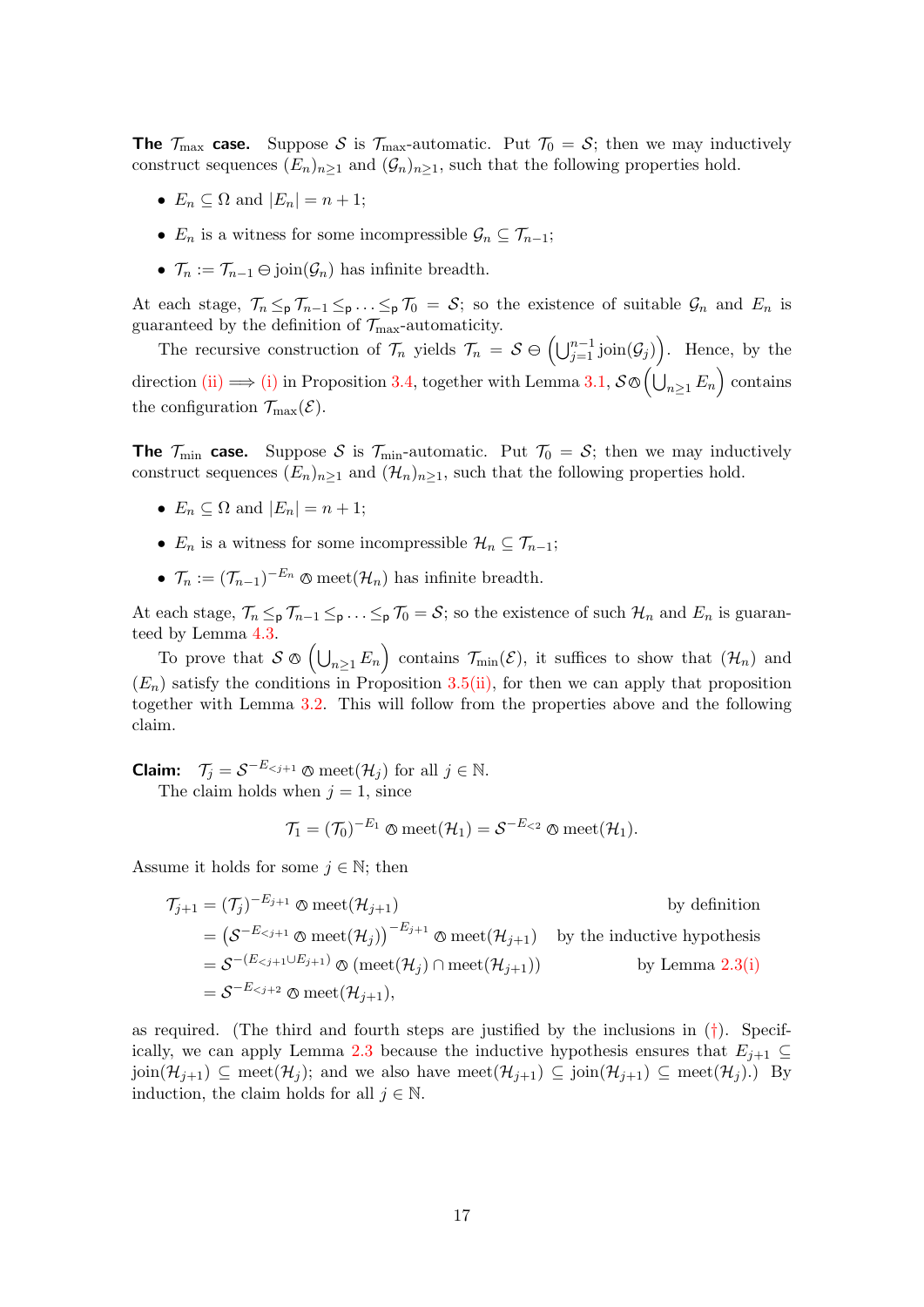**The**  $\mathcal{T}_{\text{max}}$  case. Suppose S is  $\mathcal{T}_{\text{max}}$ -automatic. Put  $\mathcal{T}_0 = S$ ; then we may inductively construct sequences  $(E_n)_{n>1}$  and  $(\mathcal{G}_n)_{n>1}$ , such that the following properties hold.

- $E_n \subseteq \Omega$  and  $|E_n| = n + 1$ ;
- $E_n$  is a witness for some incompressible  $\mathcal{G}_n \subseteq \mathcal{T}_{n-1}$ ;
- $\mathcal{T}_n := \mathcal{T}_{n-1} \ominus \text{join}(\mathcal{G}_n)$  has infinite breadth.

At each stage,  $\mathcal{T}_n \leq_p \mathcal{T}_{n-1} \leq_p \ldots \leq_p \mathcal{T}_0 = \mathcal{S}$ ; so the existence of suitable  $\mathcal{G}_n$  and  $E_n$  is guaranteed by the definition of  $\mathcal{T}_{\rm max}\textrm{-}$  automaticity.

The recursive construction of  $\mathcal{T}_n$  yields  $\mathcal{T}_n = \mathcal{S} \ominus \left( \bigcup_{j=1}^{n-1} \text{join}(\mathcal{G}_j) \right)$ . Hence, by the direction [\(ii\)](#page-12-3)  $\Longrightarrow$  [\(i\)](#page-12-2) in Proposition [3.4,](#page-12-4) together with Lemma [3.1,](#page-11-0)  $\mathcal{S} \otimes (\bigcup_{n \geq 1} E_n)$  contains the configuration  $\mathcal{T}_{\max}(\mathcal{E})$ .

**The**  $\mathcal{T}_{\text{min}}$  case. Suppose S is  $\mathcal{T}_{\text{min}}$ -automatic. Put  $\mathcal{T}_0 = S$ ; then we may inductively construct sequences  $(E_n)_{n\geq 1}$  and  $(\mathcal{H}_n)_{n\geq 1}$ , such that the following properties hold.

- $E_n \subseteq \Omega$  and  $|E_n| = n + 1$ ;
- $E_n$  is a witness for some incompressible  $\mathcal{H}_n \subseteq \mathcal{T}_{n-1}$ ;
- $\mathcal{T}_n := (\mathcal{T}_{n-1})^{-E_n} \otimes \text{meet}(\mathcal{H}_n)$  has infinite breadth.

At each stage,  $\mathcal{T}_n \leq_p \mathcal{T}_{n-1} \leq_p \ldots \leq_p \mathcal{T}_0 = \mathcal{S}$ ; so the existence of such  $\mathcal{H}_n$  and  $E_n$  is guaranteed by Lemma [4.3.](#page-15-4)

To prove that  $S \otimes (\bigcup_{n \geq 1} E_n)$  contains  $\mathcal{T}_{\min}(\mathcal{E})$ , it suffices to show that  $(\mathcal{H}_n)$  and  $(E_n)$  satisfy the conditions in Proposition [3.5](#page-13-2)[\(ii\),](#page-13-1) for then we can apply that proposition together with Lemma [3.2.](#page-11-1) This will follow from the properties above and the following claim.

**Claim:**  $\mathcal{T}_j = \mathcal{S}^{-E_{ for all  $j \in \mathbb{N}$ .$ The claim holds when  $j = 1$ , since

$$
\mathcal{T}_1 = (\mathcal{T}_0)^{-E_1} \otimes \mathrm{meet}(\mathcal{H}_1) = \mathcal{S}^{-E_{<2}} \otimes \mathrm{meet}(\mathcal{H}_1).
$$

Assume it holds for some  $j \in \mathbb{N}$ ; then

$$
\mathcal{T}_{j+1} = (\mathcal{T}_j)^{-E_{j+1}} \otimes \text{meet}(\mathcal{H}_{j+1}) \qquad \text{by definition}
$$
\n
$$
= \left( \mathcal{S}^{-E_{\n
$$
= \mathcal{S}^{-(E_{\n
$$
= \mathcal{S}^{-E_{
$$
$$
$$

as required. (The third and fourth steps are justified by the inclusions in  $(\dagger)$ . Specif-ically, we can apply Lemma [2.3](#page-7-3) because the inductive hypothesis ensures that  $E_{i+1} \subseteq$  $\text{join}(\mathcal{H}_{j+1}) \subseteq \text{meet}(\mathcal{H}_j)$ ; and we also have  $\text{meet}(\mathcal{H}_{j+1}) \subseteq \text{join}(\mathcal{H}_{j+1}) \subseteq \text{meet}(\mathcal{H}_j)$ .) By induction, the claim holds for all  $j \in \mathbb{N}$ .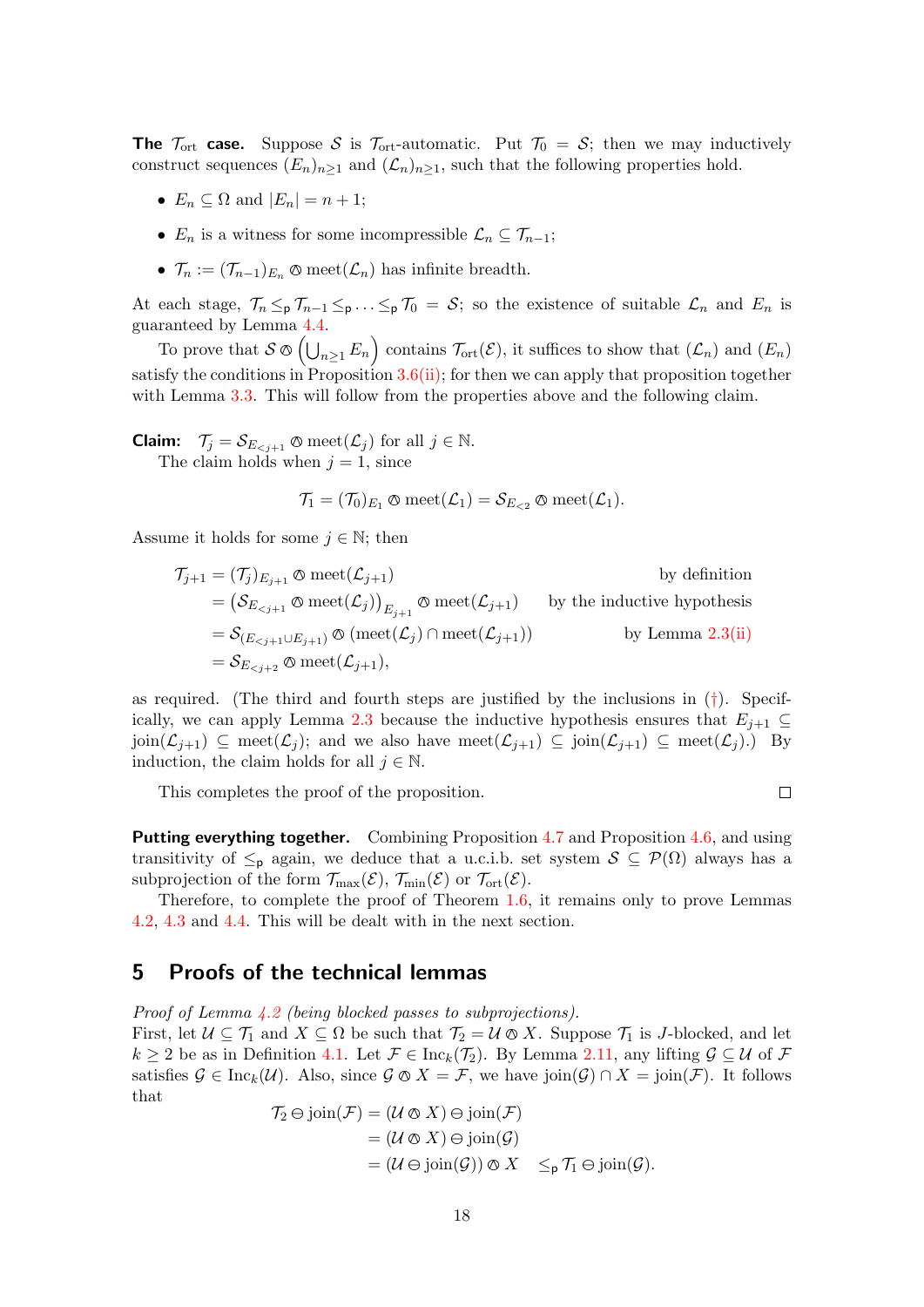**The**  $\mathcal{T}_{\text{ort}}$  case. Suppose S is  $\mathcal{T}_{\text{ort}}$ -automatic. Put  $\mathcal{T}_0 = S$ ; then we may inductively construct sequences  $(E_n)_{n>1}$  and  $(\mathcal{L}_n)_{n>1}$ , such that the following properties hold.

- $E_n \subseteq \Omega$  and  $|E_n| = n + 1$ ;
- $E_n$  is a witness for some incompressible  $\mathcal{L}_n \subseteq \mathcal{T}_{n-1}$ ;
- $\mathcal{T}_n := (\mathcal{T}_{n-1})_{E_n} \otimes \text{meet}(\mathcal{L}_n)$  has infinite breadth.

At each stage,  $\mathcal{T}_n \leq_p \mathcal{T}_{n-1} \leq_p \ldots \leq_p \mathcal{T}_0 = \mathcal{S}$ ; so the existence of suitable  $\mathcal{L}_n$  and  $E_n$  is guaranteed by Lemma [4.4.](#page-15-5)

To prove that  $S \otimes (\bigcup_{n \geq 1} E_n)$  contains  $\mathcal{T}_{\text{ort}}(\mathcal{E})$ , it suffices to show that  $(\mathcal{L}_n)$  and  $(E_n)$ satisfy the conditions in Proposition  $3.6(i)$  $3.6(i)$ ; for then we can apply that proposition together with Lemma [3.3.](#page-12-1) This will follow from the properties above and the following claim.

**Claim:**  $\mathcal{T}_j = \mathcal{S}_{E_{\leq j+1}} \otimes \text{meet}(\mathcal{L}_j)$  for all  $j \in \mathbb{N}$ . The claim holds when  $j = 1$ , since

$$
\mathcal{T}_1 = (\mathcal{T}_0)_{E_1} \otimes \mathrm{meet}(\mathcal{L}_1) = \mathcal{S}_{E_{< 2}} \otimes \mathrm{meet}(\mathcal{L}_1).
$$

Assume it holds for some  $j \in \mathbb{N}$ ; then

$$
\begin{aligned}\n\mathcal{T}_{j+1} &= (\mathcal{T}_j)_{E_{j+1}} \otimes \text{meet}(\mathcal{L}_{j+1}) & \text{by definition} \\
&= \left( \mathcal{S}_{E_{
$$

as required. (The third and fourth steps are justified by the inclusions in  $(\dagger)$ . Specif-ically, we can apply Lemma [2.3](#page-7-3) because the inductive hypothesis ensures that  $E_{i+1} \subseteq$  $\text{join}(\mathcal{L}_{j+1}) \subseteq \text{meet}(\mathcal{L}_{j})$ ; and we also have  $\text{meet}(\mathcal{L}_{j+1}) \subseteq \text{join}(\mathcal{L}_{j+1}) \subseteq \text{meet}(\mathcal{L}_{j})$ . By induction, the claim holds for all  $j \in \mathbb{N}$ .

 $\Box$ 

This completes the proof of the proposition.

**Putting everything together.** Combining Proposition [4.7](#page-15-1) and Proposition [4.6,](#page-15-2) and using transitivity of  $\leq_{p}$  again, we deduce that a u.c.i.b. set system  $S \subseteq \mathcal{P}(\Omega)$  always has a subprojection of the form  $\mathcal{T}_{\max}(\mathcal{E}), \mathcal{T}_{\min}(\mathcal{E})$  or  $\mathcal{T}_{\text{ort}}(\mathcal{E})$ .

Therefore, to complete the proof of Theorem [1.6,](#page-2-2) it remains only to prove Lemmas [4.2,](#page-15-3) [4.3](#page-15-4) and [4.4.](#page-15-5) This will be dealt with in the next section.

## <span id="page-17-0"></span>5 Proofs of the technical lemmas

Proof of Lemma [4.2](#page-15-3) (being blocked passes to subprojections).

First, let  $\mathcal{U} \subseteq \mathcal{T}_1$  and  $X \subseteq \Omega$  be such that  $\mathcal{T}_2 = \mathcal{U} \otimes X$ . Suppose  $\mathcal{T}_1$  is J-blocked, and let  $k \geq 2$  be as in Definition [4.1.](#page-14-7) Let  $\mathcal{F} \in \text{Inc}_k(\mathcal{T}_2)$ . By Lemma [2.11,](#page-9-5) any lifting  $\mathcal{G} \subseteq \mathcal{U}$  of  $\mathcal{F}$ satisfies  $\mathcal{G} \in \text{Inc}_k(\mathcal{U})$ . Also, since  $\mathcal{G} \otimes X = \mathcal{F}$ , we have join $(\mathcal{G}) \cap X = \text{join}(\mathcal{F})$ . It follows that

$$
\begin{aligned} \mathcal{T}_2 \ominus \text{join}(\mathcal{F}) &= (\mathcal{U} \otimes X) \ominus \text{join}(\mathcal{F}) \\ &= (\mathcal{U} \otimes X) \ominus \text{join}(\mathcal{G}) \\ &= (\mathcal{U} \ominus \text{join}(\mathcal{G})) \otimes X \quad \leq_{\mathsf{p}} \mathcal{T}_1 \ominus \text{join}(\mathcal{G}). \end{aligned}
$$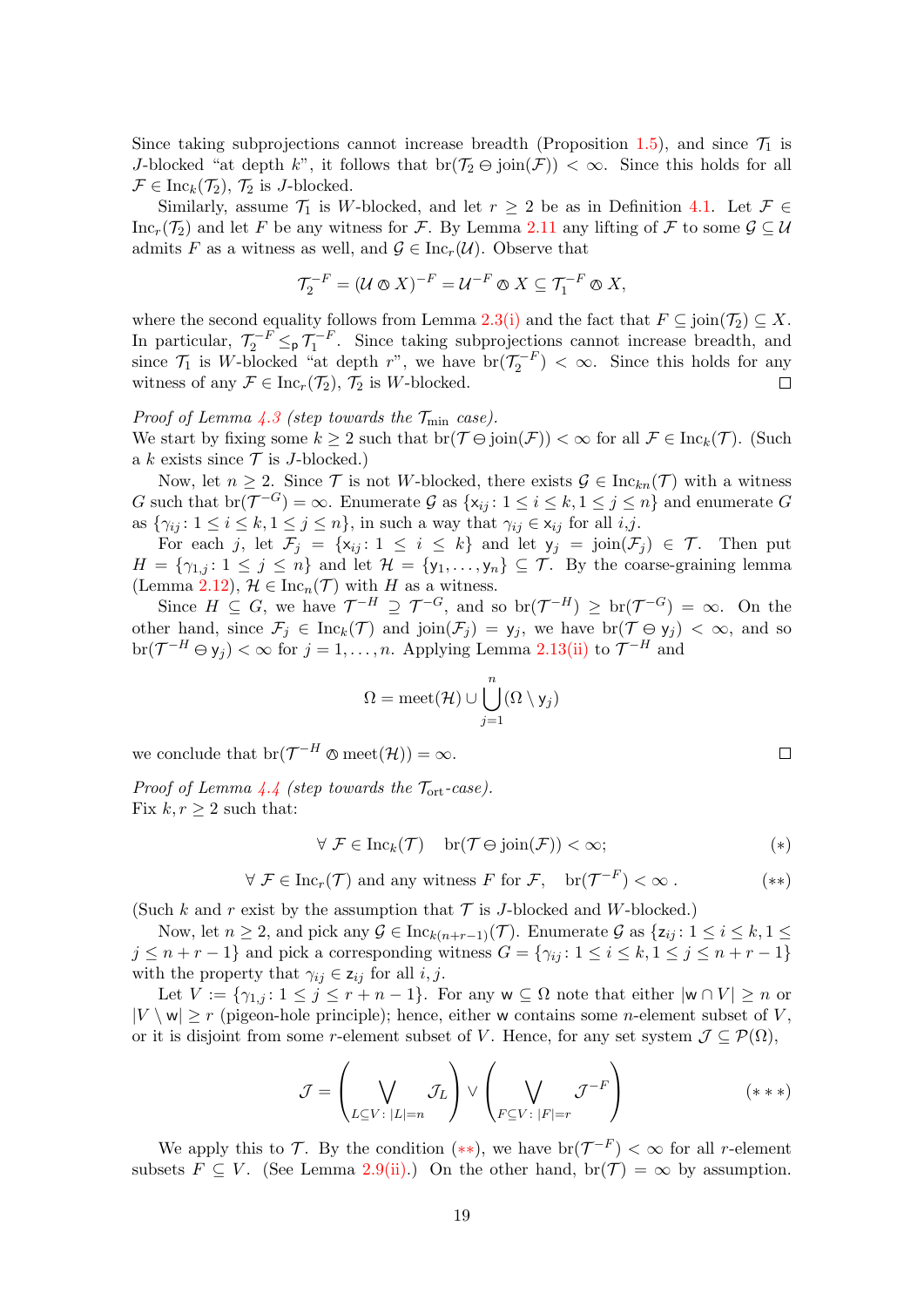Since taking subprojections cannot increase breadth (Proposition [1.5\)](#page-2-4), and since  $\mathcal{T}_1$  is J-blocked "at depth k", it follows that  $\text{br}(\mathcal{T}_2 \ominus \text{join}(\mathcal{F})) < \infty$ . Since this holds for all  $\mathcal{F} \in \text{Inc}_k(\mathcal{T}_2)$ ,  $\mathcal{T}_2$  is J-blocked.

Similarly, assume  $\mathcal{T}_1$  is W-blocked, and let  $r \geq 2$  be as in Definition [4.1.](#page-14-7) Let  $\mathcal{F} \in$ Inc<sub>r</sub>(T<sub>2</sub>) and let F be any witness for F. By Lemma [2.11](#page-9-5) any lifting of F to some  $\mathcal{G} \subseteq \mathcal{U}$ admits F as a witness as well, and  $\mathcal{G} \in \text{Inc}_r(\mathcal{U})$ . Observe that

$$
\mathcal{T}_2^{-F} = (\mathcal{U} \otimes X)^{-F} = \mathcal{U}^{-F} \otimes X \subseteq \mathcal{T}_1^{-F} \otimes X,
$$

where the second equality follows from Lemma [2.3](#page-7-3)[\(i\)](#page-7-1) and the fact that  $F \subseteq \text{join}(\mathcal{T}_2) \subseteq X$ . In particular,  $\mathcal{T}_2^{-F} \leq_p \mathcal{T}_1^{-F}$ . Since taking subprojections cannot increase breadth, and since  $\mathcal{T}_1$  is W-blocked "at depth r", we have  $br(\mathcal{T}_2^{-F}) < \infty$ . Since this holds for any witness of any  $\mathcal{F} \in \text{Inc}_r(\mathcal{T}_2)$ ,  $\mathcal{T}_2$  is W-blocked.  $\Box$ 

Proof of Lemma [4.3](#page-15-4) (step towards the  $\mathcal{T}_{\min}$  case). We start by fixing some  $k \geq 2$  such that  $br(\mathcal{T} \ominus \text{join}(\mathcal{F})) < \infty$  for all  $\mathcal{F} \in \text{Inc}_k(\mathcal{T})$ . (Such a k exists since  $\mathcal T$  is J-blocked.)

Now, let  $n \geq 2$ . Since T is not W-blocked, there exists  $\mathcal{G} \in \text{Inc}_{kn}(\mathcal{T})$  with a witness G such that  $\text{br}(\mathcal{T}^{-G}) = \infty$ . Enumerate G as  $\{x_{ij} : 1 \le i \le k, 1 \le j \le n\}$  and enumerate G as  $\{\gamma_{ij}: 1 \leq i \leq k, 1 \leq j \leq n\}$ , in such a way that  $\gamma_{ij} \in x_{ij}$  for all  $i, j$ .

For each j, let  $\mathcal{F}_j = \{x_{ij} : 1 \leq i \leq k\}$  and let  $y_j = \text{join}(\mathcal{F}_j) \in \mathcal{T}$ . Then put  $H = \{\gamma_{1,j}: 1 \leq j \leq n\}$  and let  $\mathcal{H} = \{y_1, \ldots, y_n\} \subseteq \mathcal{T}$ . By the coarse-graining lemma (Lemma [2.12\)](#page-10-4),  $\mathcal{H} \in \text{Inc}_n(\mathcal{T})$  with H as a witness.

Since  $H \subseteq G$ , we have  $\mathcal{T}^{-H} \supseteq \mathcal{T}^{-G}$ , and so  $\text{br}(\mathcal{T}^{-H}) \geq \text{br}(\mathcal{T}^{-G}) = \infty$ . On the other hand, since  $\mathcal{F}_j \in \text{Inc}_k(\mathcal{T})$  and join $(\mathcal{F}_j) = y_j$ , we have  $\text{br}(\mathcal{T} \ominus y_j) < \infty$ , and so  $\text{br}(\mathcal{T}^{-H} \ominus y_j) < \infty$  for  $j = 1, ..., n$ . Applying Lemma [2.13](#page-10-5)[\(ii\)](#page-10-3) to  $\mathcal{T}^{-H}$  and

<span id="page-18-2"></span><span id="page-18-0"></span>
$$
\Omega = \text{meet}(\mathcal{H}) \cup \bigcup_{j=1}^n (\Omega \setminus \mathsf{y}_j)
$$

we conclude that  $\text{br}(\mathcal{T}^{-H} \otimes \text{meet}(\mathcal{H})) = \infty$ .

Proof of Lemma  $4.4$  (step towards the  $\mathcal{T}_{ort}$ -case). Fix  $k, r \geq 2$  such that:

$$
\forall \mathcal{F} \in \text{Inc}_k(\mathcal{T}) \quad \text{br}(\mathcal{T} \ominus \text{join}(\mathcal{F})) < \infty;
$$
 (\*)

$$
\forall \mathcal{F} \in \text{Inc}_r(\mathcal{T}) \text{ and any witness } F \text{ for } \mathcal{F}, \quad \text{br}(\mathcal{T}^{-F}) < \infty.
$$
 (\*\*)

(Such k and r exist by the assumption that  $\mathcal T$  is J-blocked and W-blocked.)

Now, let  $n \geq 2$ , and pick any  $\mathcal{G} \in \text{Inc}_{k(n+r-1)}(\mathcal{T})$ . Enumerate  $\mathcal{G}$  as  $\{z_{ij}: 1 \leq i \leq k, 1 \leq j \leq k\}$  $j \leq n+r-1$ } and pick a corresponding witness  $G = \{\gamma_{ij}: 1 \leq i \leq k, 1 \leq j \leq n+r-1\}$ with the property that  $\gamma_{ij} \in z_{ij}$  for all  $i, j$ .

Let  $V := \{ \gamma_{1,j} : 1 \leq j \leq r+n-1 \}$ . For any  $w \subseteq \Omega$  note that either  $|w \cap V| \geq n$  or  $|V \setminus w| \ge r$  (pigeon-hole principle); hence, either w contains some *n*-element subset of V, or it is disjoint from some r-element subset of V. Hence, for any set system  $\mathcal{J} \subseteq \mathcal{P}(\Omega)$ ,

<span id="page-18-1"></span>
$$
\mathcal{J} = \left(\bigvee_{L \subseteq V \colon |L|=n} \mathcal{J}_L\right) \vee \left(\bigvee_{F \subseteq V \colon |F|=r} \mathcal{J}^{-F}\right) \tag{***}
$$

We apply this to T. By the condition  $(**)$ , we have  $br(\mathcal{T}^{-F}) < \infty$  for all r-element subsets  $F \subseteq V$ . (See Lemma [2.9](#page-9-2)[\(ii\).](#page-9-4)) On the other hand, br( $\mathcal{T}$ ) =  $\infty$  by assumption.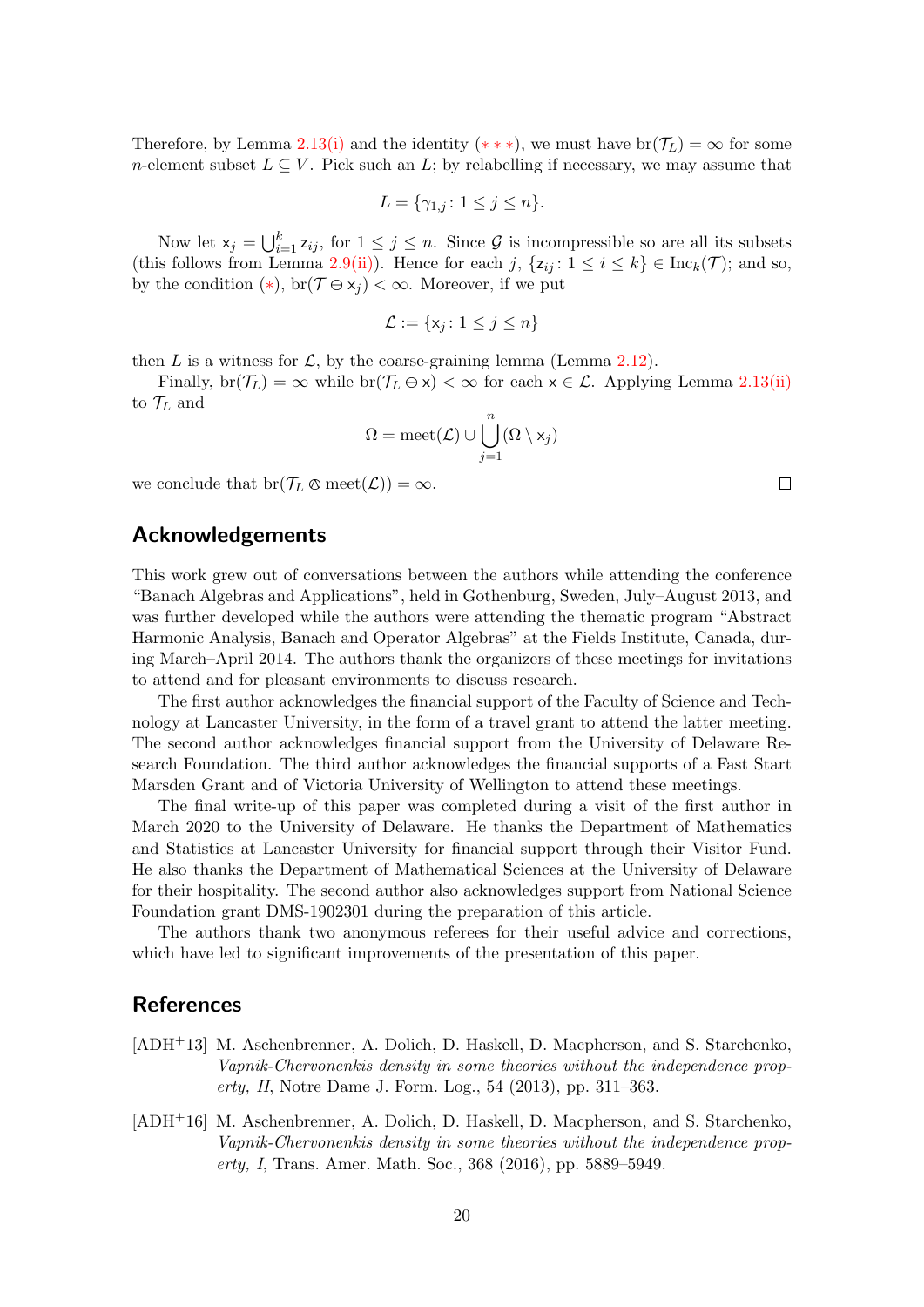Therefore, by Lemma [2.13](#page-10-5)[\(i\)](#page-10-2) and the identity (\*\*\*), we must have  $br(\mathcal{T}_L) = \infty$  for some n-element subset  $L \subseteq V$ . Pick such an L; by relabelling if necessary, we may assume that

$$
L = \{\gamma_{1,j} \colon 1 \le j \le n\}.
$$

Now let  $x_j = \bigcup_{i=1}^k z_{ij}$ , for  $1 \leq j \leq n$ . Since  $\mathcal G$  is incompressible so are all its subsets (this follows from Lemma [2.9](#page-9-2)[\(ii\)\)](#page-9-4). Hence for each j,  $\{z_{ij} : 1 \le i \le k\} \in \text{Inc}_k(\mathcal{T})$ ; and so, by the condition  $(*)$ , br $(\mathcal{T} \ominus x_i) < \infty$ . Moreover, if we put

$$
\mathcal{L} := \{ \mathsf{x}_j \colon 1 \leq j \leq n \}
$$

then L is a witness for L, by the coarse-graining lemma (Lemma [2.12\)](#page-10-4).

Finally,  $\text{br}(\mathcal{T}_L) = \infty$  while  $\text{br}(\mathcal{T}_L \ominus x) < \infty$  for each  $x \in \mathcal{L}$ . Applying Lemma [2.13](#page-10-5)[\(ii\)](#page-10-3) to  $\mathcal{T}_L$  and

$$
\Omega = \mathrm{meet}(\mathcal{L}) \cup \bigcup_{j=1}^n (\Omega \setminus \mathsf{x}_j)
$$

we conclude that  $\text{br}(\mathcal{T}_L \otimes \text{meet}(\mathcal{L})) = \infty$ .

## Acknowledgements

This work grew out of conversations between the authors while attending the conference "Banach Algebras and Applications", held in Gothenburg, Sweden, July–August 2013, and was further developed while the authors were attending the thematic program "Abstract Harmonic Analysis, Banach and Operator Algebras" at the Fields Institute, Canada, during March–April 2014. The authors thank the organizers of these meetings for invitations to attend and for pleasant environments to discuss research.

The first author acknowledges the financial support of the Faculty of Science and Technology at Lancaster University, in the form of a travel grant to attend the latter meeting. The second author acknowledges financial support from the University of Delaware Research Foundation. The third author acknowledges the financial supports of a Fast Start Marsden Grant and of Victoria University of Wellington to attend these meetings.

The final write-up of this paper was completed during a visit of the first author in March 2020 to the University of Delaware. He thanks the Department of Mathematics and Statistics at Lancaster University for financial support through their Visitor Fund. He also thanks the Department of Mathematical Sciences at the University of Delaware for their hospitality. The second author also acknowledges support from National Science Foundation grant DMS-1902301 during the preparation of this article.

The authors thank two anonymous referees for their useful advice and corrections, which have led to significant improvements of the presentation of this paper.

### References

- <span id="page-19-1"></span>[ADH+13] M. Aschenbrenner, A. Dolich, D. Haskell, D. Macpherson, and S. Starchenko, Vapnik-Chervonenkis density in some theories without the independence property, II, Notre Dame J. Form. Log., 54 (2013), pp. 311–363.
- <span id="page-19-0"></span>[ADH+16] M. Aschenbrenner, A. Dolich, D. Haskell, D. Macpherson, and S. Starchenko, Vapnik-Chervonenkis density in some theories without the independence property, I, Trans. Amer. Math. Soc., 368 (2016), pp. 5889–5949.